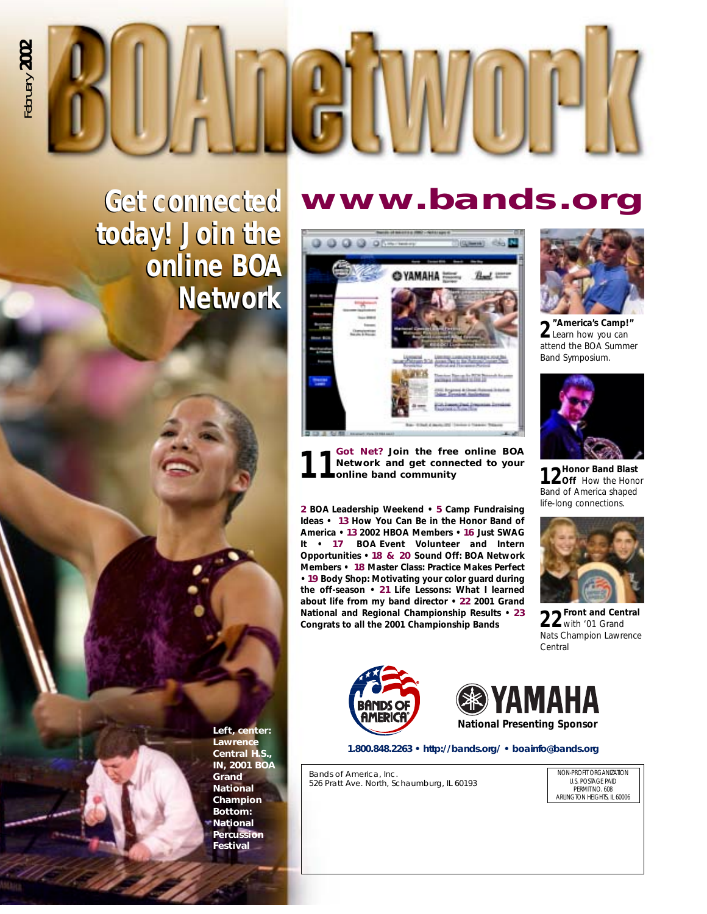

### **www.bands.org**

**Get connected Get connected today! Join the today! Join the online BOA online BOA Network Network** 



**11Got Net? Join the free online BOA Network and get connected to your online band community**

**2 BOA Leadership Weekend • 5 Camp Fundraising Ideas • 13 How You Can Be in the Honor Band of America • 13 2002 HBOA Members • 16 Just SWAG It • 17 BOA Event Volunteer and Intern Opportunities • 18 & 20 Sound Off: BOA Network Members • 18 Master Class: Practice Makes Perfect • 19 Body Shop: Motivating your color guard during the off-season • 21 Life Lessons: What I learned about life from my band director • 22 2001 Grand National and Regional Championship Results • 23 Congrats to all the 2001 Championship Bands**



**2"America's Camp!"** Learn how you can attend the BOA Summer Band Symposium.



12<sup>Honor Band Blast<br> **12** Off How the Honor</sup> Band of America shaped life-long connections.



**22Front and Central** with '01 Grand Nats Champion Lawrence Central





**1.800.848.2263 • http://bands.org/ • boainfo@bands.org**

Bands of America, Inc. 526 Pratt Ave. North, Schaumburg, IL 60193

NON-PROFIT ORGANIZATION U.S. POSTAGE PAID PERMIT NO. 608 ARLINGTON HEIGHTS, IL 60006

**Lawrence Central H.S., IN, 2001 BOA Grand National Champion Bottom: National Percussion Festival**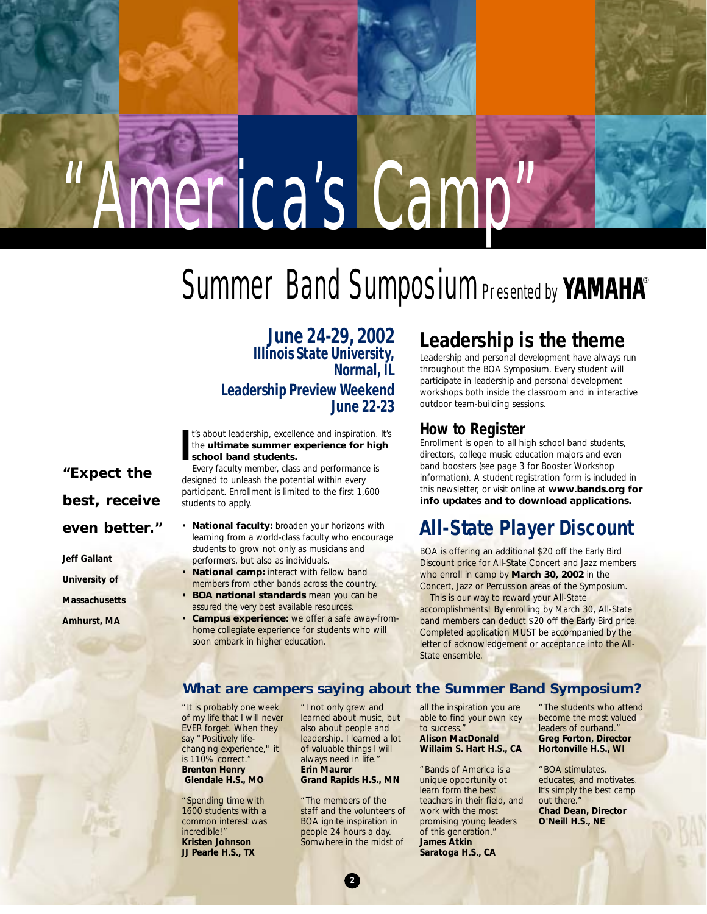# "America's Camp"

#### **Summer Band Sumposium Presented by ®**

**June 24-29, 2002 Illinois State University, Normal, IL Leadership Preview Weekend June 22-23**

**I** t's about leadership, excellence and inspiration. It's the **ultimate summer experience for high school band students.**

Every faculty member, class and performance is designed to unleash the potential within every participant. Enrollment is limited to the first 1,600 students to apply.

- **National faculty:** broaden your horizons with learning from a world-class faculty who encourage students to grow not only as musicians and performers, but also as individuals.
- **National camp:** interact with fellow band members from other bands across the country.
- **BOA national standards** mean you can be assured the very best available resources.
- **Campus experience:** we offer a safe away-fromhome collegiate experience for students who will soon embark in higher education.

#### **Leadership is the theme**

Leadership and personal development have always run throughout the BOA Symposium. Every student will participate in leadership and personal development workshops both inside the classroom and in interactive outdoor team-building sessions.

#### **How to Register**

Enrollment is open to all high school band students, directors, college music education majors and even band boosters (see page 3 for Booster Workshop information). A student registration form is included in this newsletter, or visit online at **www.bands.org for info updates and to download applications.**

#### **All-State Player Discount**

BOA is offering an additional \$20 off the Early Bird Discount price for All-State Concert and Jazz members who enroll in camp by **March 30, 2002** in the Concert, Jazz or Percussion areas of the Symposium.

This is our way to reward your All-State accomplishments! By enrolling by March 30, All-State band members can deduct \$20 off the Early Bird price. Completed application MUST be accompanied by the letter of acknowledgement or acceptance into the All-State ensemble.

#### **What are campers saying about the Summer Band Symposium?**

"It is probably one week of my life that I will never EVER forget. When they say "Positively lifechanging experience," it is 110% correct." **Brenton Henry Glendale H.S., MO**

"Spending time with 1600 students with a common interest was incredible!" **Kristen Johnson JJ Pearle H.S., TX**

"I not only grew and learned about music, but also about people and leadership. I learned a lot of valuable things I will always need in life." **Erin Maurer Grand Rapids H.S., MN**

"The members of the staff and the volunteers of BOA ignite inspiration in people 24 hours a day. Somwhere in the midst of

all the inspiration you are able to find your own key to success." **Alison MacDonald**

#### **Willaim S. Hart H.S., CA**

"Bands of America is a unique opportunity ot learn form the best teachers in their field, and work with the most promising young leaders of this generation." **James Atkin Saratoga H.S., CA**

"The students who attend become the most valued leaders of ourband." **Greg Forton, Director Hortonville H.S., WI**

"BOA stimulates, educates, and motivates. It's simply the best camp out there." **Chad Dean, Director O'Neill H.S., NE**

**"Expect the best, receive even better."**

**Jeff Gallant**

**University of**

**Massachusetts**

**Amhurst, MA**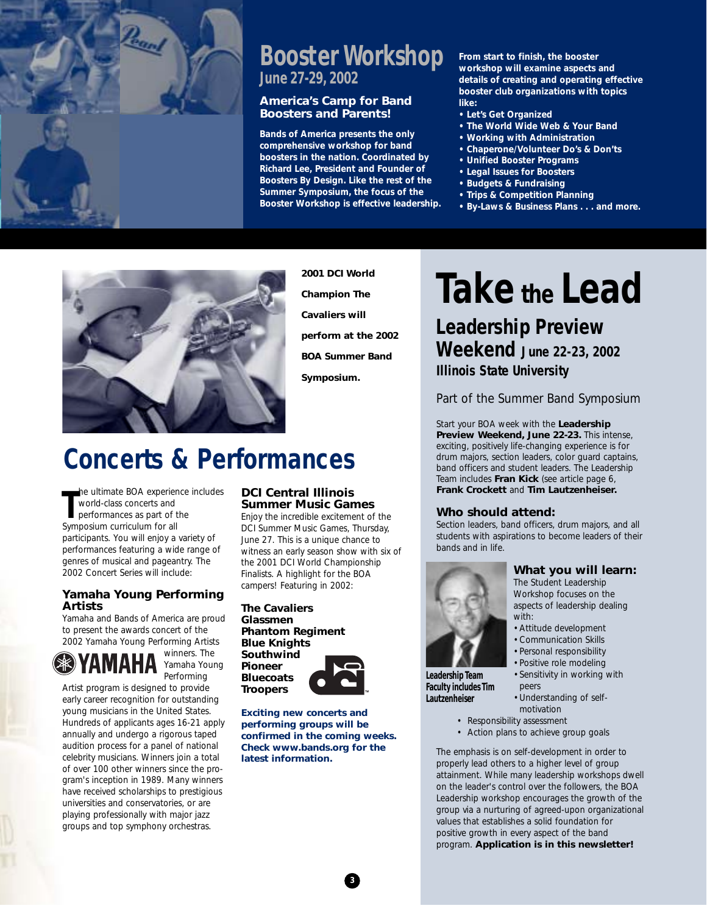

#### **Booster Workshop June 27-29, 2002**

#### **America's Camp for Band Boosters and Parents!**

**Bands of America presents the only comprehensive workshop for band boosters in the nation. Coordinated by Richard Lee, President and Founder of Boosters By Design. Like the rest of the Summer Symposium, the focus of the Booster Workshop is effective leadership.** 

**From start to finish, the booster workshop will examine aspects and details of creating and operating effective booster club organizations with topics like:**

- **• Let's Get Organized**
- **• The World Wide Web & Your Band**
- **Working with Administration**
- **• Chaperone/Volunteer Do's & Don'ts**
- **• Unified Booster Programs**
- **• Legal Issues for Boosters • Budgets & Fundraising**
- **Trips & Competition Planning**
- **• By-Laws & Business Plans . . . and more.**



**2001 DCI World Champion The Cavaliers will perform at the 2002 BOA Summer Band Symposium.**

### **Concerts & Performances**

**T** he ultimate BOA experience includes world-class concerts and performances as part of the Symposium curriculum for all participants. You will enjoy a variety of performances featuring a wide range of genres of musical and pageantry. The 2002 Concert Series will include:

#### **Yamaha Young Performing Artists**

Yamaha and Bands of America are proud to present the awards concert of the 2002 Yamaha Young Performing Artists



winners. The Yamaha Young Performing

Artist program is designed to provide early career recognition for outstanding young musicians in the United States. Hundreds of applicants ages 16-21 apply annually and undergo a rigorous taped audition process for a panel of national celebrity musicians. Winners join a total of over 100 other winners since the program's inception in 1989. Many winners have received scholarships to prestigious universities and conservatories, or are playing professionally with major jazz groups and top symphony orchestras.

#### **DCI Central Illinois Summer Music Games**

Enjoy the incredible excitement of the DCI Summer Music Games, Thursday, June 27. This is a unique chance to witness an early season show with six of the 2001 DCI World Championship Finalists. A highlight for the BOA campers! Featuring in 2002:

**The Cavaliers Glassmen Phantom Regiment Blue Knights Southwind Pioneer Bluecoats Troopers**



**Exciting new concerts and performing groups will be confirmed in the coming weeks. Check www.bands.org for the latest information.**

### **Take the Lead**

**Leadership Preview Weekend June 22-23, 2002 Illinois State University**

Part of the Summer Band Symposium

Start your BOA week with the **Leadership Preview Weekend, June 22-23.** This intense, exciting, positively life-changing experience is for drum majors, section leaders, color guard captains, band officers and student leaders. The Leadership Team includes **Fran Kick** (see article page 6, **Frank Crockett** and **Tim Lautzenheiser.**

#### **Who should attend:**

Section leaders, band officers, drum majors, and all students with aspirations to become leaders of their bands and in life.



#### **What you will learn:**

The Student Leadership Workshop focuses on the aspects of leadership dealing with:

- •Attitude development
- •Communication Skills
- Personal responsibility
- Positive role modeling

•Sensitivity in working with peers

- •Understanding of selfmotivation
- Responsibility assessment
- Action plans to achieve group goals

The emphasis is on self-development in order to properly lead others to a higher level of group attainment. While many leadership workshops dwell on the leader's control over the followers, the BOA Leadership workshop encourages the growth of the group via a nurturing of agreed-upon organizational values that establishes a solid foundation for positive growth in every aspect of the band program. **Application is in this newsletter!**

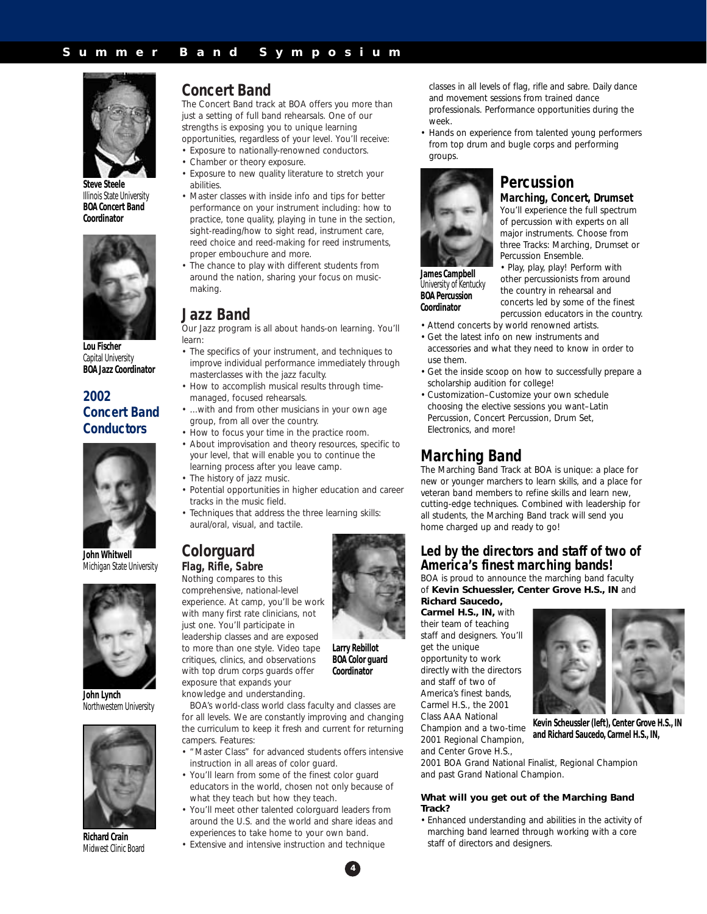

**Steve Steele** Illinois State University **BOA Concert Band Coordinator**



**Lou Fischer** Capital University **BOA Jazz Coordinator**

#### **2002 Concert Band Conductors**



**John Whitwell** Michigan State University



**John Lynch** Northwestern University



**Richard Crain** Midwest Clinic Board

#### **Concert Band**

The Concert Band track at BOA offers you more than just a setting of full band rehearsals. One of our strengths is exposing you to unique learning opportunities, regardless of your level. You'll receive:

- Exposure to nationally-renowned conductors.
- Chamber or theory exposure.
- Exposure to new quality literature to stretch your abilities.
- Master classes with inside info and tips for better performance on your instrument including: how to practice, tone quality, playing in tune in the section, sight-reading/how to sight read, instrument care, reed choice and reed-making for reed instruments, proper embouchure and more.
- The chance to play with different students from around the nation, sharing your focus on musicmaking.

#### **Jazz Band**

Our Jazz program is all about hands-on learning. You'll learn:

- The specifics of your instrument, and techniques to improve individual performance immediately through masterclasses with the jazz faculty.
- How to accomplish musical results through timemanaged, focused rehearsals.
- ...with and from other musicians in your own age group, from all over the country.
- How to focus your time in the practice room.
- About improvisation and theory resources, specific to your level, that will enable you to continue the learning process after you leave camp.
- The history of jazz music.
- Potential opportunities in higher education and career tracks in the music field.
- Techniques that address the three learning skills: aural/oral, visual, and tactile.

#### **Colorguard Flag, Rifle, Sabre**

Nothing compares to this

comprehensive, national-level experience. At camp, you'll be work with many first rate clinicians, not just one. You'll participate in leadership classes and are exposed to more than one style. Video tape critiques, clinics, and observations with top drum corps guards offer exposure that expands your

knowledge and understanding.

BOA's world-class world class faculty and classes are for all levels. We are constantly improving and changing the curriculum to keep it fresh and current for returning campers. Features:

- "Master Class" for advanced students offers intensive instruction in all areas of color guard.
- You'll learn from some of the finest color guard educators in the world, chosen not only because of *what* they teach but *how* they teach.
- You'll meet other talented colorguard leaders from around the U.S. and the world and share ideas and experiences to take home to your own band.
- Extensive and intensive instruction and technique

**4**

**Larry Rebillot BOA Color guard Coordinator**



• Hands on experience from talented young performers from top drum and bugle corps and performing groups.



#### **Percussion Marching, Concert, Drumset**

You'll experience the full spectrum of percussion with experts on all major instruments. Choose from three Tracks: Marching, Drumset or Percussion Ensemble.

• Play, play, play! Perform with other percussionists from around the country in rehearsal and concerts led by some of the finest

**James Campbell** University of Kentucky **BOA Percussion Coordinator**

- percussion educators in the country. • Attend concerts by world renowned artists.
- Get the latest info on new instruments and accessories and what they need to know in order to use them.
- Get the inside scoop on how to successfully prepare a scholarship audition for college!
- Customization–Customize your own schedule choosing the elective sessions *you* want–Latin Percussion, Concert Percussion, Drum Set, Electronics, and more!

#### **Marching Band**

The Marching Band Track at BOA is unique: a place for new or younger marchers to learn skills, and a place for veteran band members to refine skills and learn new, cutting-edge techniques. Combined with leadership for all students, the Marching Band track will send you home charged up and ready to go!

#### **Led by the directors and staff of two of America's finest marching bands!**

BOA is proud to announce the marching band faculty of **Kevin Schuessler, Center Grove H.S., IN** and **Richard Saucedo,**

**Carmel H.S., IN,** with their team of teaching staff and designers. You'll get the unique opportunity to work directly with the directors and staff of two of America's finest bands, Carmel H.S., the 2001 Class AAA National

Champion and a two-time 2001 Regional Champion, and Center Grove H.S.,

2001 BOA Grand National Finalist, Regional Champion and past Grand National Champion.

#### **What will you get out of the Marching Band Track?**

• Enhanced understanding and abilities in the activity of marching band learned through working with a core staff of directors and designers.



**Kevin Scheussler (left), Center Grove H.S., IN and Richard Saucedo, Carmel H.S., IN,**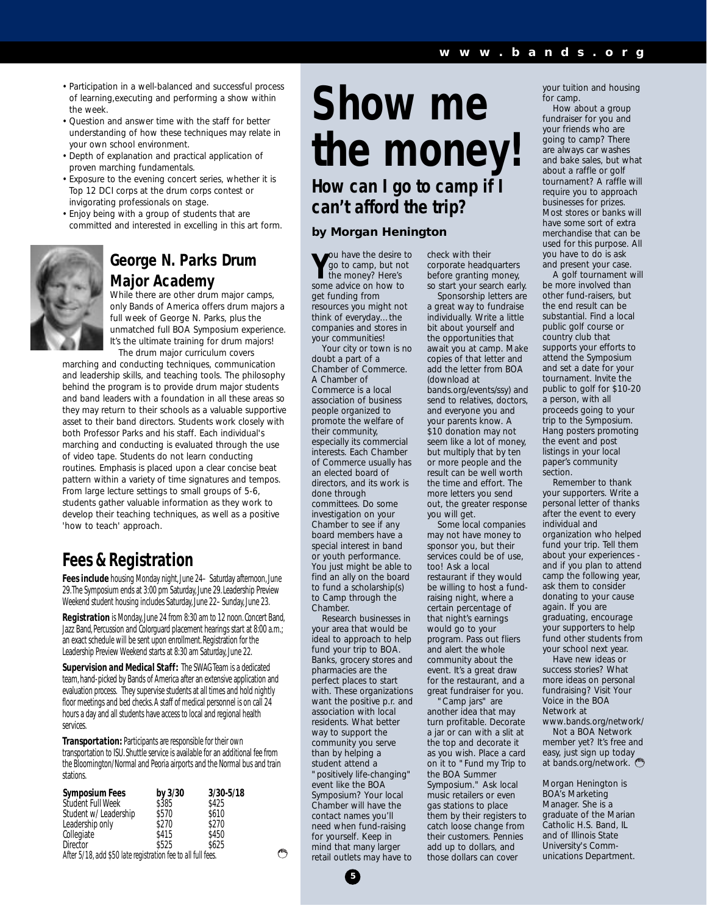- Participation in a well-balanced and successful process of learning,executing and performing a show within the week.
- Question and answer time with the staff for better understanding of how these techniques may relate in your own school environment.
- Depth of explanation and practical application of proven marching fundamentals.
- Exposure to the evening concert series, whether it is Top 12 DCI corps at the drum corps contest or invigorating professionals on stage.
- Enjoy being with a group of students that are committed and interested in excelling in this art form.



#### **George N. Parks Drum Major Academy**

While there are other drum major camps, only Bands of America offers drum majors a full week of George N. Parks, plus the unmatched full BOA Symposium experience. It's the ultimate training for drum majors! The drum major curriculum covers

marching and conducting techniques, communication and leadership skills, and teaching tools. The philosophy behind the program is to provide drum major students and band leaders with a foundation in all these areas so they may return to their schools as a valuable supportive asset to their band directors. Students work closely with both Professor Parks and his staff. Each individual's marching and conducting is evaluated through the use of video tape. Students do not learn conducting routines. Emphasis is placed upon a clear concise beat pattern within a variety of time signatures and tempos. From large lecture settings to small groups of 5-6, students gather valuable information as they work to develop their teaching techniques, as well as a positive 'how to teach' approach.

#### **Fees & Registration**

**Fees include** housing Monday night, June 24– Saturday afternoon, June 29.The Symposium ends at 3:00 pm Saturday, June 29. Leadership Preview Weekend student housing includes Saturday, June 22–Sunday, June 23.

**Registration** is Monday, June 24 from 8:30 am to 12 noon. Concert Band, Jazz Band, Percussion and Colorguard placement hearings start at 8:00 a.m.; an exact schedule will be sent upon enrollment. Registration for the Leadership Preview Weekend starts at 8:30 am Saturday, June 22.

**Supervision and Medical Staff:** The SWAG Team is a dedicated team, hand-picked by Bands of America after an extensive application and evaluation process. They supervise students at all times and hold nightly floor meetings and bed checks. A staff of medical personnel is on call 24 hours a day and all students have access to local and regional health services.

**Transportation:** Participants are responsible for their own transportation to ISU. Shuttle service is available for an additional fee from the Bloomington/Normal and Peoria airports and the Normal bus and train stations.

| <b>Symposium Fees</b>                                        | by 3/30 | 3/30-5/18 |
|--------------------------------------------------------------|---------|-----------|
| Student Full Week                                            | \$385   | \$425     |
| Student w/ Leadership                                        | \$570   | \$610     |
| Leadership only                                              | \$270   | \$270     |
| Collegiate                                                   | \$415   | \$450     |
| Director                                                     | \$525   | \$625     |
| After 5/18, add \$50 late registration fee to all full fees. |         |           |

### **Show me the money! How can I go to camp if I can't afford the trip?**

#### **by Morgan Henington**

**Y** ou have the desire to go to camp, but not the money? Here's some advice on how to get funding from resources you might not think of everyday…the companies and stores in your communities!

Your city or town is no doubt a part of a Chamber of Commerce. A Chamber of Commerce is a local association of business people organized to promote the welfare of their community, especially its commercial interests. Each Chamber of Commerce usually has an elected board of directors, and its work is done through committees. Do some investigation on your Chamber to see if any board members have a special interest in band or youth performance. You just might be able to find an ally on the board to fund a scholarship(s) to Camp through the Chamber.

Research businesses in your area that would be ideal to approach to help fund your trip to BOA. Banks, grocery stores and pharmacies are the perfect places to start with. These organizations want the positive p.r. and association with local residents. What better way to support the community you serve than by helping a student attend a "positively life-changing" event like the BOA Symposium? Your local Chamber will have the contact names you'll need when fund-raising for yourself. Keep in mind that many larger retail outlets may have to

**5**

check with their corporate headquarters before granting money, so start your search early.

Sponsorship letters are a great way to fundraise individually. Write a little bit about yourself and the opportunities that await you at camp. Make copies of that letter and add the letter from BOA (download at bands.org/events/ssy) and send to relatives, doctors, and everyone you and your parents know. A \$10 donation may not seem like a lot of money, but multiply that by ten or more people and the result can be well worth the time and effort. The more letters you send out, the greater response you will get.

Some local companies may not have money to sponsor you, but their services could be of use. too! Ask a local restaurant if they would be willing to host a fundraising night, where a certain percentage of that night's earnings would go to your program. Pass out fliers and alert the whole community about the event. It's a great draw for the restaurant, and a great fundraiser for you.

Camp jars" are another idea that may turn profitable. Decorate a jar or can with a slit at the top and decorate it as you wish. Place a card on it to "Fund my Trip to the BOA Summer Symposium." Ask local music retailers or even gas stations to place them by their registers to catch loose change from their customers. Pennies add up to dollars, and those dollars can cover

your tuition and housing for camp.

How about a group fundraiser for you and your friends who are going to camp? There are always car washes and bake sales, but what about a raffle or golf tournament? A raffle will require you to approach businesses for prizes. Most stores or banks will have some sort of extra merchandise that can be used for this purpose. All you have to do is ask and present your case.

A golf tournament will be more involved than other fund-raisers, but the end result can be substantial. Find a local public golf course or country club that supports your efforts to attend the Symposium and set a date for your tournament. Invite the public to golf for \$10-20 a person, with all proceeds going to your trip to the Symposium. Hang posters promoting the event and post listings in your local paper's community section.

Remember to thank your supporters. Write a personal letter of thanks after the event to every individual and organization who helped fund your trip. Tell them about your experiences and if you plan to attend camp the following year, ask them to consider donating to your cause again. If you are graduating, encourage your supporters to help fund other students from your school next year.

Have new ideas or success stories? What more ideas on personal fundraising? Visit Your Voice in the BOA Network at www.bands.org/network/

Not a BOA Network member yet? It's free and easy, just sign up today at bands.org/network.

*Morgan Henington is BOA's Marketing Manager. She is a graduate of the Marian Catholic H.S. Band, IL and of Illinois State University's Communications Department.*

وجحتهم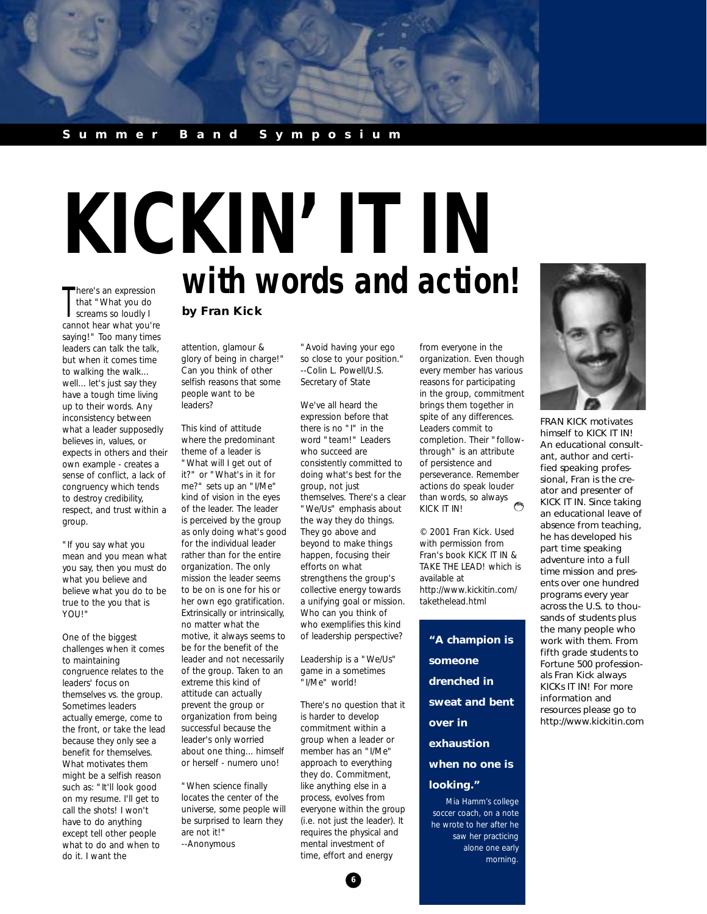#### **Summer Band Symposium**

#### There's an expression<br>that "What you do<br>screams so loudly I here's an expression that "What you do cannot hear what you're saying!" Too many times leaders can talk the talk, but when it comes time to walking the walk... well... let's just say they have a tough time living up to their words. Any inconsistency between what a leader supposedly believes in, values, or expects in others and their own example - creates a sense of conflict, a lack of congruency which tends to destroy credibility, respect, and trust within a group.

"If you say what you mean and you mean what you say, then you must do what you believe and believe what you do to be true to the you that is YOU!"

One of the biggest challenges when it comes to maintaining congruence relates to the leaders' focus on themselves vs. the group. Sometimes leaders actually emerge, come to the front, or take the lead because they only see a benefit for themselves. What motivates them might be a selfish reason such as: "It'll look good on my resume. I'll get to call the shots! I won't have to do anything except tell other people what to do and when to do it. I want the

## **with words and action! KICKIN' IT IN**

#### **by Fran Kick**

attention, glamour & glory of being in charge!" Can you think of other selfish reasons that some people want to be leaders?

This kind of attitude where the predominant theme of a leader is "What will I get out of it?" or "What's in it for me?" sets up an "I/Me" kind of vision in the eyes of the leader. The leader is perceived by the group as only doing what's good for the individual leader rather than for the entire organization. The only mission the leader seems to be on is one for his or her own ego gratification. Extrinsically or intrinsically, no matter what the motive, it always seems to be for the benefit of the leader and not necessarily of the group. Taken to an extreme this kind of attitude can actually prevent the group or organization from being successful because the leader's only worried about one thing... himself or herself - numero uno!

"When science finally locates the center of the universe, some people will be surprised to learn they are not it!" --Anonymous

"Avoid having your ego so close to your position." --Colin L. Powell/U.S. Secretary of State

We've all heard the expression before that there is no "I" in the word "team!" Leaders who succeed are consistently committed to doing what's best for the group, not just themselves. There's a clear "We/Us" emphasis about the way they do things. They go above and beyond to make things happen, focusing their efforts on what strengthens the group's collective energy towards a unifying goal or mission. Who can you think of who exemplifies this kind of leadership perspective?

Leadership is a "We/Us" game in a sometimes "I/Me" world!

There's no question that it is harder to develop commitment within a group when a leader or member has an "I/Me" approach to everything they do. Commitment, like anything else in a process, evolves from everyone within the group (i.e. not just the leader). It requires the physical and mental investment of time, effort and energy

**6**

from everyone in the organization. Even though every member has various reasons for participating in the group, commitment brings them together in spite of any differences. Leaders commit to completion. Their "followthrough" is an attribute of persistence and perseverance. Remember actions do speak louder than words, so always  $\ell^{\approx}$ KICK IT IN!

*© 2001 Fran Kick. Used with permission from Fran's book KICK IT IN & TAKE THE LEAD! which is available at http://www.kickitin.com/ takethelead.html*

**"A champion is someone drenched in sweat and bent over in exhaustion when no one is looking."**

*Mia Hamm's college soccer coach, on a note he wrote to her after he saw her practicing alone one early morning.*



FRAN KICK motivates himself to KICK IT IN! An educational consultant, author and certified speaking professional, Fran is the creator and presenter of KICK IT IN. Since taking an educational leave of absence from teaching, he has developed his part time speaking adventure into a full time mission and presents over one hundred programs every year across the U.S. to thousands of students plus the many people who work with them. From fifth grade students to Fortune 500 professionals Fran Kick always KICKs IT IN! For more information and resources please go to http://www.kickitin.com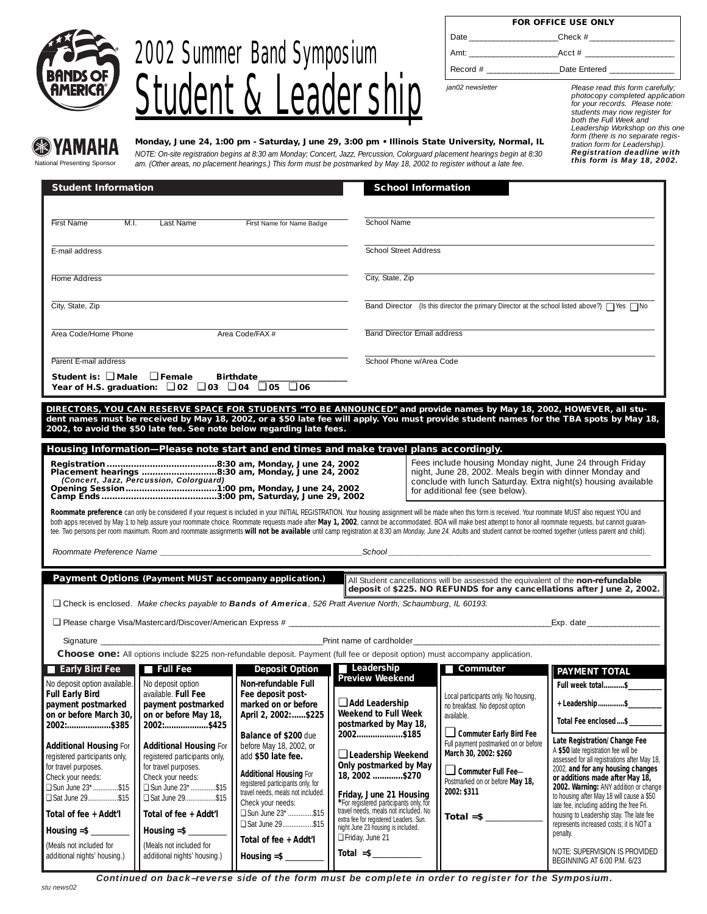

### 2002 Summer Band Symposium **Student & Leadership**

|            | <b>FOR OFFICE USE ONLY</b>                                                                                                                                                                                                                         |
|------------|----------------------------------------------------------------------------------------------------------------------------------------------------------------------------------------------------------------------------------------------------|
| Date       |                                                                                                                                                                                                                                                    |
|            | $\text{Acct} \#$<br>Amt: and a series of the series of the series of the series of the series of the series of the series of the series of the series of the series of the series of the series of the series of the series of the series of the s |
| Record $#$ | Date Entered                                                                                                                                                                                                                                       |

*jan02 newsletter*

*Please read this form carefully; photocopy completed application for your records. Please note: students may now register for both the Full Week and Leadership Workshop on this one form (there is no separate regis-tration form for Leadership). Registration deadline with this form is May 18, 2002.*

#### YAMAHA National Presenting Sponsor

**Monday, June 24, 1:00 pm - Saturday, June 29, 3:00 pm • Illinois State University, Normal, IL**

*NOTE: On-site registration begins at 8:30 am Monday; Concert, Jazz, Percussion, Colorguard placement hearings begin at 8:30 am. (Other areas, no placement hearings.) This form must be postmarked by May 18, 2002 to register without a late fee.*

| <b>Student Information</b>                                                                                                                                                                                                                                                                                                                                                                                                                                                                                                                                                                                                                              |                                                                                                                                                                                                                                                                                                                            |                                                                                                                                                                                                                                                   | <b>School Information</b>                                                                                                                                                                                                                                   |                                                                                                                                                                                                   |                                                                                                                                                                                                                                                                                                                                                                                                                        |  |
|---------------------------------------------------------------------------------------------------------------------------------------------------------------------------------------------------------------------------------------------------------------------------------------------------------------------------------------------------------------------------------------------------------------------------------------------------------------------------------------------------------------------------------------------------------------------------------------------------------------------------------------------------------|----------------------------------------------------------------------------------------------------------------------------------------------------------------------------------------------------------------------------------------------------------------------------------------------------------------------------|---------------------------------------------------------------------------------------------------------------------------------------------------------------------------------------------------------------------------------------------------|-------------------------------------------------------------------------------------------------------------------------------------------------------------------------------------------------------------------------------------------------------------|---------------------------------------------------------------------------------------------------------------------------------------------------------------------------------------------------|------------------------------------------------------------------------------------------------------------------------------------------------------------------------------------------------------------------------------------------------------------------------------------------------------------------------------------------------------------------------------------------------------------------------|--|
|                                                                                                                                                                                                                                                                                                                                                                                                                                                                                                                                                                                                                                                         |                                                                                                                                                                                                                                                                                                                            |                                                                                                                                                                                                                                                   |                                                                                                                                                                                                                                                             |                                                                                                                                                                                                   |                                                                                                                                                                                                                                                                                                                                                                                                                        |  |
| M.L.<br>First Name<br>Last Name<br>First Name for Name Badge                                                                                                                                                                                                                                                                                                                                                                                                                                                                                                                                                                                            |                                                                                                                                                                                                                                                                                                                            |                                                                                                                                                                                                                                                   | School Name                                                                                                                                                                                                                                                 |                                                                                                                                                                                                   |                                                                                                                                                                                                                                                                                                                                                                                                                        |  |
| E-mail address                                                                                                                                                                                                                                                                                                                                                                                                                                                                                                                                                                                                                                          |                                                                                                                                                                                                                                                                                                                            |                                                                                                                                                                                                                                                   | School Street Address                                                                                                                                                                                                                                       |                                                                                                                                                                                                   |                                                                                                                                                                                                                                                                                                                                                                                                                        |  |
| Home Address                                                                                                                                                                                                                                                                                                                                                                                                                                                                                                                                                                                                                                            |                                                                                                                                                                                                                                                                                                                            |                                                                                                                                                                                                                                                   | City, State, Zip                                                                                                                                                                                                                                            |                                                                                                                                                                                                   |                                                                                                                                                                                                                                                                                                                                                                                                                        |  |
| City, State, Zip                                                                                                                                                                                                                                                                                                                                                                                                                                                                                                                                                                                                                                        |                                                                                                                                                                                                                                                                                                                            |                                                                                                                                                                                                                                                   |                                                                                                                                                                                                                                                             | Band Director (Is this director the primary Director at the school listed above?) $\Box$ Yes $\Box$ No                                                                                            |                                                                                                                                                                                                                                                                                                                                                                                                                        |  |
| Area Code/Home Phone                                                                                                                                                                                                                                                                                                                                                                                                                                                                                                                                                                                                                                    | Area Code/FAX #                                                                                                                                                                                                                                                                                                            |                                                                                                                                                                                                                                                   | Band Director Email address                                                                                                                                                                                                                                 |                                                                                                                                                                                                   |                                                                                                                                                                                                                                                                                                                                                                                                                        |  |
| Parent E-mail address                                                                                                                                                                                                                                                                                                                                                                                                                                                                                                                                                                                                                                   |                                                                                                                                                                                                                                                                                                                            |                                                                                                                                                                                                                                                   | School Phone w/Area Code                                                                                                                                                                                                                                    |                                                                                                                                                                                                   |                                                                                                                                                                                                                                                                                                                                                                                                                        |  |
| Student is: $\square$ Male $\square$ Female                                                                                                                                                                                                                                                                                                                                                                                                                                                                                                                                                                                                             | Year of H.S. graduation: $\Box$ 02 $\Box$ 03 $\Box$ 04 $\Box$ 05 $\Box$ 06                                                                                                                                                                                                                                                 | Birthdate___                                                                                                                                                                                                                                      |                                                                                                                                                                                                                                                             |                                                                                                                                                                                                   |                                                                                                                                                                                                                                                                                                                                                                                                                        |  |
|                                                                                                                                                                                                                                                                                                                                                                                                                                                                                                                                                                                                                                                         |                                                                                                                                                                                                                                                                                                                            |                                                                                                                                                                                                                                                   |                                                                                                                                                                                                                                                             |                                                                                                                                                                                                   |                                                                                                                                                                                                                                                                                                                                                                                                                        |  |
|                                                                                                                                                                                                                                                                                                                                                                                                                                                                                                                                                                                                                                                         |                                                                                                                                                                                                                                                                                                                            | 2002, to avoid the \$50 late fee. See note below regarding late fees.                                                                                                                                                                             |                                                                                                                                                                                                                                                             | DIRECTORS, YOU CAN RESERVE SPACE FOR STUDENTS "TO BE ANNOUNCED" and provide names by May 18, 2002, HOWEVER, all stu-                                                                              | dent names must be received by May 18, 2002, or a \$50 late fee will apply. You must provide student names for the TBA spots by May 18,                                                                                                                                                                                                                                                                                |  |
|                                                                                                                                                                                                                                                                                                                                                                                                                                                                                                                                                                                                                                                         |                                                                                                                                                                                                                                                                                                                            |                                                                                                                                                                                                                                                   | Housing Information-Please note start and end times and make travel plans accordingly.                                                                                                                                                                      |                                                                                                                                                                                                   |                                                                                                                                                                                                                                                                                                                                                                                                                        |  |
|                                                                                                                                                                                                                                                                                                                                                                                                                                                                                                                                                                                                                                                         | Fees include housing Monday night, June 24 through Friday<br>night, June 28, 2002. Meals begin with dinner Monday and<br>Placement hearings 8:30 am, Monday, June 24, 2002<br>(Concert, Jazz, Percussion, Colorguard)<br>conclude with lunch Saturday. Extra night(s) housing available<br>for additional fee (see below). |                                                                                                                                                                                                                                                   |                                                                                                                                                                                                                                                             |                                                                                                                                                                                                   |                                                                                                                                                                                                                                                                                                                                                                                                                        |  |
| Roommate preference can only be considered if your request is included in your INITIAL REGISTRATION. Your housing assignment will be made when this form is received. Your roommate MUST also request YOU and<br>both apps received by May 1 to help assure your roommate choice. Roommate requests made after May 1, 2002, cannot be accommodated. BOA will make best attempt to honor all roommate requests, but cannot quaran-<br>tee. Two persons per room maximum. Room and roommate assignments will not be available until camp registration at 8:30 am Monday, June 24. Adults and student cannot be roomed together (unless parent and child). |                                                                                                                                                                                                                                                                                                                            |                                                                                                                                                                                                                                                   |                                                                                                                                                                                                                                                             |                                                                                                                                                                                                   |                                                                                                                                                                                                                                                                                                                                                                                                                        |  |
|                                                                                                                                                                                                                                                                                                                                                                                                                                                                                                                                                                                                                                                         |                                                                                                                                                                                                                                                                                                                            | Payment Options (Payment MUST accompany application.)                                                                                                                                                                                             |                                                                                                                                                                                                                                                             | All Student cancellations will be assessed the equivalent of the non-refundable                                                                                                                   |                                                                                                                                                                                                                                                                                                                                                                                                                        |  |
|                                                                                                                                                                                                                                                                                                                                                                                                                                                                                                                                                                                                                                                         |                                                                                                                                                                                                                                                                                                                            |                                                                                                                                                                                                                                                   |                                                                                                                                                                                                                                                             |                                                                                                                                                                                                   | deposit of \$225. NO REFUNDS for any cancellations after June 2, 2002.                                                                                                                                                                                                                                                                                                                                                 |  |
|                                                                                                                                                                                                                                                                                                                                                                                                                                                                                                                                                                                                                                                         |                                                                                                                                                                                                                                                                                                                            |                                                                                                                                                                                                                                                   | $\Box$ Check is enclosed. Make checks payable to <b>Bands of America</b> , 526 Pratt Avenue North, Schaumburg, IL 60193.                                                                                                                                    |                                                                                                                                                                                                   |                                                                                                                                                                                                                                                                                                                                                                                                                        |  |
|                                                                                                                                                                                                                                                                                                                                                                                                                                                                                                                                                                                                                                                         |                                                                                                                                                                                                                                                                                                                            |                                                                                                                                                                                                                                                   |                                                                                                                                                                                                                                                             |                                                                                                                                                                                                   | Exp. date experience and the set of the set of the set of the set of the set of the set of the set of the set o                                                                                                                                                                                                                                                                                                        |  |
| Signature                                                                                                                                                                                                                                                                                                                                                                                                                                                                                                                                                                                                                                               |                                                                                                                                                                                                                                                                                                                            |                                                                                                                                                                                                                                                   | Print name of cardholder_______________                                                                                                                                                                                                                     |                                                                                                                                                                                                   |                                                                                                                                                                                                                                                                                                                                                                                                                        |  |
|                                                                                                                                                                                                                                                                                                                                                                                                                                                                                                                                                                                                                                                         |                                                                                                                                                                                                                                                                                                                            |                                                                                                                                                                                                                                                   | Choose one: All options include \$225 non-refundable deposit. Payment (full fee or deposit option) must accompany application.                                                                                                                              |                                                                                                                                                                                                   |                                                                                                                                                                                                                                                                                                                                                                                                                        |  |
| <b>Early Bird Fee</b>                                                                                                                                                                                                                                                                                                                                                                                                                                                                                                                                                                                                                                   | <b>Full Fee</b>                                                                                                                                                                                                                                                                                                            | <b>Deposit Option</b>                                                                                                                                                                                                                             | <b>Leadership</b><br><b>Preview Weekend</b>                                                                                                                                                                                                                 | Commuter                                                                                                                                                                                          | <b>PAYMENT TOTAL</b>                                                                                                                                                                                                                                                                                                                                                                                                   |  |
| No deposit option available. No deposit option<br><b>Full Early Bird</b>                                                                                                                                                                                                                                                                                                                                                                                                                                                                                                                                                                                | available. Full Fee                                                                                                                                                                                                                                                                                                        | <b>Non-refundable Full</b><br>Fee deposit post-                                                                                                                                                                                                   |                                                                                                                                                                                                                                                             |                                                                                                                                                                                                   | Full week total\$                                                                                                                                                                                                                                                                                                                                                                                                      |  |
| payment postmarked                                                                                                                                                                                                                                                                                                                                                                                                                                                                                                                                                                                                                                      | payment postmarked                                                                                                                                                                                                                                                                                                         | marked on or before                                                                                                                                                                                                                               | Add Leadership                                                                                                                                                                                                                                              | Local participants only. No housing,<br>no breakfast. No deposit option                                                                                                                           | + Leadership \$_________                                                                                                                                                                                                                                                                                                                                                                                               |  |
| on or before March 30,<br>2002:\$385                                                                                                                                                                                                                                                                                                                                                                                                                                                                                                                                                                                                                    | on or before May 18,<br>2002:\$425                                                                                                                                                                                                                                                                                         | April 2, 2002:  \$225                                                                                                                                                                                                                             | <b>Weekend to Full Week</b><br>postmarked by May 18,<br>2002\$185                                                                                                                                                                                           | available.<br>∟ Commuter Early Bird Fee                                                                                                                                                           | Total Fee enclosed \$ ________                                                                                                                                                                                                                                                                                                                                                                                         |  |
| <b>Additional Housing For</b><br>registered participants only,<br>for travel purposes.<br>Check your needs:<br>□ Sun June 23* \$15<br>Sat June 29\$15<br>Total of fee + Addt'l                                                                                                                                                                                                                                                                                                                                                                                                                                                                          | <b>Additional Housing For</b><br>registered participants only,<br>for travel purposes.<br>Check your needs:<br>□ Sun June 23* \$15<br>Sat June 29\$15<br>Total of fee + Addt'l                                                                                                                                             | Balance of \$200 due<br>before May 18, 2002, or<br>add \$50 late fee.<br><b>Additional Housing For</b><br>registered participants only, for<br>travel needs, meals not included.<br>Check your needs:<br>□ Sun June 23* \$15<br>□ Sat June 29\$15 | Leadership Weekend<br>Only postmarked by May<br>18, 2002 \$270<br>Friday, June 21 Housing<br>*For registered participants only, for<br>travel needs, meals not included. No<br>extra fee for registered Leaders. Sun.<br>night June 23 housing is included. | Full payment postmarked on or before<br>March 30, 2002: \$260<br>$\Box$ Commuter Full Fee-<br>Postmarked on or before May 18,<br>2002: \$311<br>Total =\$ $\frac{\qquad \qquad }{\qquad \qquad }$ | Late Registration/ Change Fee<br>A \$50 late registration fee will be<br>assessed for all registrations after May 18,<br>2002, and for any housing changes<br>or additions made after May 18,<br>2002. Warning: ANY addition or change<br>to housing after May 18 will cause a \$50<br>late fee, including adding the free Fri.<br>housing to Leadership stay. The late fee<br>represents increased costs; it is NOT a |  |
| (Meals not included for                                                                                                                                                                                                                                                                                                                                                                                                                                                                                                                                                                                                                                 | (Meals not included for                                                                                                                                                                                                                                                                                                    | Total of fee + Addt'l                                                                                                                                                                                                                             | Friday, June 21                                                                                                                                                                                                                                             |                                                                                                                                                                                                   | penalty.                                                                                                                                                                                                                                                                                                                                                                                                               |  |
| additional nights' housing.)                                                                                                                                                                                                                                                                                                                                                                                                                                                                                                                                                                                                                            | additional nights' housing.)                                                                                                                                                                                                                                                                                               | Housing $=$ \$                                                                                                                                                                                                                                    | Total $=\frac{1}{2}$                                                                                                                                                                                                                                        |                                                                                                                                                                                                   | NOTE: SUPERVISION IS PROVIDED<br>BEGINNING AT 6:00 P.M. 6/23                                                                                                                                                                                                                                                                                                                                                           |  |

*Continued on back–reverse side of the form must be complete in order to register for the Symposium.*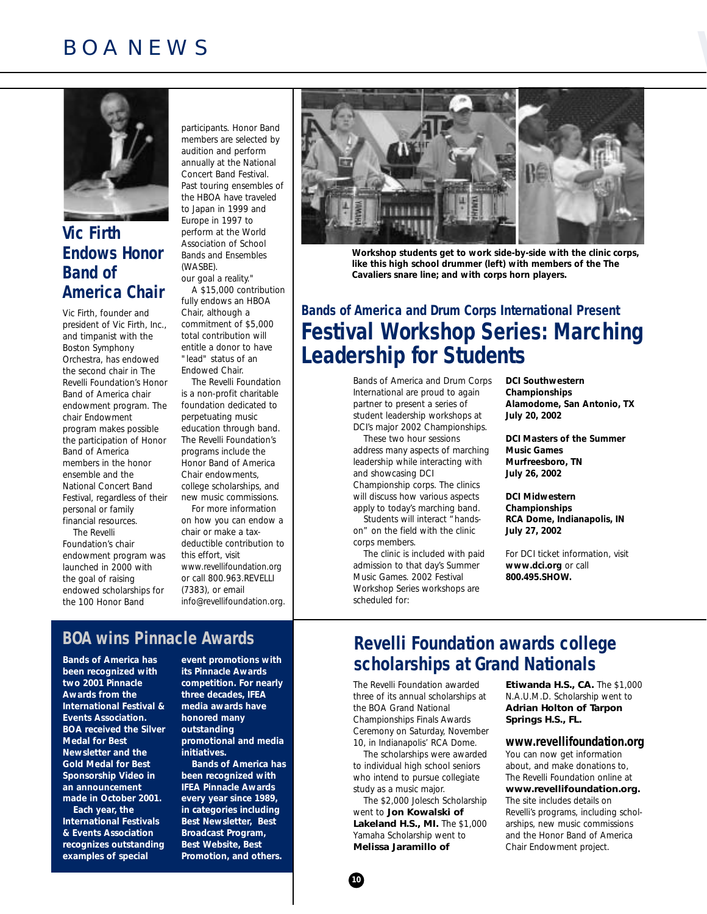# BOA NEWS



#### **Vic Firth Endows Honor Band of America Chair**

Vic Firth, founder and president of Vic Firth, Inc., and timpanist with the Boston Symphony Orchestra, has endowed the second chair in The Revelli Foundation's Honor Band of America chair endowment program. The chair Endowment program makes possible the participation of Honor Band of America members in the honor ensemble and the National Concert Band Festival, regardless of their personal or family financial resources.

The Revelli Foundation's chair endowment program was launched in 2000 with the goal of raising endowed scholarships for the 100 Honor Band

participants. Honor Band members are selected by audition and perform annually at the National Concert Band Festival. Past touring ensembles of the HBOA have traveled to Japan in 1999 and Europe in 1997 to perform at the World Association of School Bands and Ensembles (WASBE). our goal a reality." A \$15,000 contribution

fully endows an HBOA Chair, although a commitment of \$5,000 total contribution will entitle a donor to have "lead" status of an Endowed Chair. The Revelli Foundation

is a non-profit charitable foundation dedicated to perpetuating music education through band. The Revelli Foundation's programs include the Honor Band of America Chair endowments, college scholarships, and new music commissions. For more information

on how you can endow a chair or make a taxdeductible contribution to this effort, visit www.revellifoundation.org or call 800.963.REVELLI (7383), or email

info@revellifoundation.org.

#### **BOA wins Pinnacle Awards**

**Bands of America has been recognized with two 2001 Pinnacle Awards from the International Festival & Events Association. BOA received the Silver Medal for Best Newsletter and the Gold Medal for Best Sponsorship Video in an announcement made in October 2001. Each year, the International Festivals & Events Association**

**recognizes outstanding examples of special**

**event promotions with its Pinnacle Awards competition. For nearly three decades, IFEA media awards have honored many outstanding promotional and media initiatives.**

**Bands of America has been recognized with IFEA Pinnacle Awards every year since 1989, in categories including Best Newsletter, Best Broadcast Program, Best Website, Best Promotion, and others.**



**Workshop students get to work side-by-side with the clinic corps, like this high school drummer (left) with members of the The Cavaliers snare line; and with corps horn players.**

#### **Bands of America and Drum Corps International Present Festival Workshop Series: Marching Leadership for Students**

Bands of America and Drum Corps International are proud to again partner to present a series of student leadership workshops at DCI's major 2002 Championships.

These two hour sessions address many aspects of marching leadership while interacting with and showcasing DCI

Championship corps. The clinics will discuss how various aspects apply to today's marching band.

Students will interact "handson" on the field with the clinic corps members.

The clinic is included with paid admission to that day's Summer Music Games. 2002 Festival Workshop Series workshops are scheduled for:

**DCI Southwestern Championships Alamodome, San Antonio, TX July 20, 2002**

**DCI Masters of the Summer Music Games Murfreesboro, TN July 26, 2002**

**DCI Midwestern Championships RCA Dome, Indianapolis, IN July 27, 2002**

For DCI ticket information, visit **www.dci.org** or call **800.495.SHOW.**

#### **Revelli Foundation awards college scholarships at Grand Nationals**

The Revelli Foundation awarded three of its annual scholarships at the BOA Grand National Championships Finals Awards Ceremony on Saturday, November 10, in Indianapolis' RCA Dome.

The scholarships were awarded to individual high school seniors who intend to pursue collegiate study as a music major.

The \$2,000 Jolesch Scholarship went to **Jon Kowalski of Lakeland H.S., MI.** The \$1,000 Yamaha Scholarship went to **Melissa Jaramillo of**

**Etiwanda H.S., CA.** The \$1,000 N.A.U.M.D. Scholarship went to **Adrian Holton of Tarpon Springs H.S., FL.** 

#### **www.revellifoundation.org**

You can now get information about, and make donations to, The Revelli Foundation online at **www.revellifoundation.org.** The site includes details on Revelli's programs, including scholarships, new music commissions and the Honor Band of America Chair Endowment project.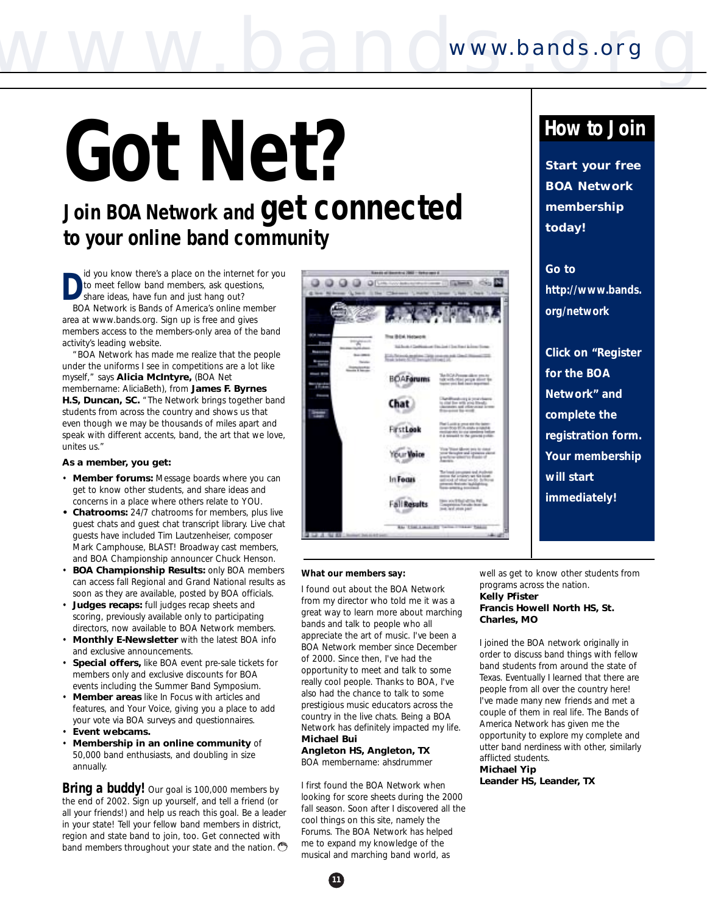# **Got Net?**

### **Join BOA Network and get connected to your online band community**

**D** id you know there's a place on the internet for you to meet fellow band members, ask questions, share ideas, have fun and just hang out? BOA Network is Bands of America's online member

area at www.bands.org. Sign up is free and gives members access to the members-only area of the band activity's leading website.

"BOA Network has made me realize that the people under the uniforms I see in competitions are a lot like myself," says **Alicia McIntyre,** (BOA Net membername: *AliciaBeth*), from **James F. Byrnes H.S, Duncan, SC.** "The Network brings together band students from across the country and shows us that even though we may be thousands of miles apart and speak with different accents, *band*, the art that we love, unites us."

#### **As a member, you get:**

- **Member forums:** Message boards where you can get to know other students, and share ideas and concerns in a place where others relate to YOU.
- **• Chatrooms:** 24/7 chatrooms for members, plus live guest chats and guest chat transcript library. Live chat guests have included Tim Lautzenheiser, composer Mark Camphouse, BLAST! Broadway cast members, and BOA Championship announcer Chuck Henson.
- **BOA Championship Results:** only BOA members can access fall Regional and Grand National results as soon as they are available, posted by BOA officials.
- **Judges recaps:** full judges recap sheets and scoring, previously available only to participating directors, now available to BOA Network members.
- **Monthly E-Newsletter** with the latest BOA info and exclusive announcements.
- **Special offers,** like BOA event pre-sale tickets for members only and exclusive discounts for BOA events including the Summer Band Symposium.
- **Member areas** like *In Focus* with articles and features, and *Your Voice,* giving you a place to add your vote via BOA surveys and questionnaires.
- **Event webcams.**
- **Membership in an online community** of 50,000 band enthusiasts, and doubling in size annually.

**Bring a buddy!** Our goal is 100,000 members by the end of 2002. Sign up yourself, and tell a friend (or all your friends!) and help us reach this goal. Be a leader in your state! Tell your fellow band members in district, region and state band to join, too. Get connected with band members throughout your state and the nation.



#### *What our members say:*

I found out about the BOA Network from my director who told me it was a great way to learn more about marching bands and talk to people who all appreciate the art of music. I've been a BOA Network member since December of 2000. Since then, I've had the opportunity to meet and talk to some really cool people. Thanks to BOA, I've also had the chance to talk to some prestigious music educators across the country in the live chats. Being a BOA Network has definitely impacted my life. **Michael Bui**

#### **Angleton HS, Angleton, TX**

BOA membername: *ahsdrummer*

**11**

I first found the BOA Network when looking for score sheets during the 2000 fall season. Soon after I discovered all the cool things on this site, namely the Forums. The BOA Network has helped me to expand my knowledge of the musical and marching band world, as

#### **How to Join**

**Start your free BOA Network membership today!**

**Go to http://www.bands. org/network**

**Click on "Register for the BOA Network" and complete the registration form. Your membership will start immediately!**

well as get to know other students from programs across the nation. **Kelly Pfister**

#### **Francis Howell North HS, St. Charles, MO**

I joined the BOA network originally in order to discuss band things with fellow band students from around the state of Texas. Eventually I learned that there are people from all over the country here! I've made many new friends and met a couple of them in real life. The Bands of America Network has given me the opportunity to explore my complete and utter band nerdiness with other, similarly afflicted students.

**Michael Yip Leander HS, Leander, TX**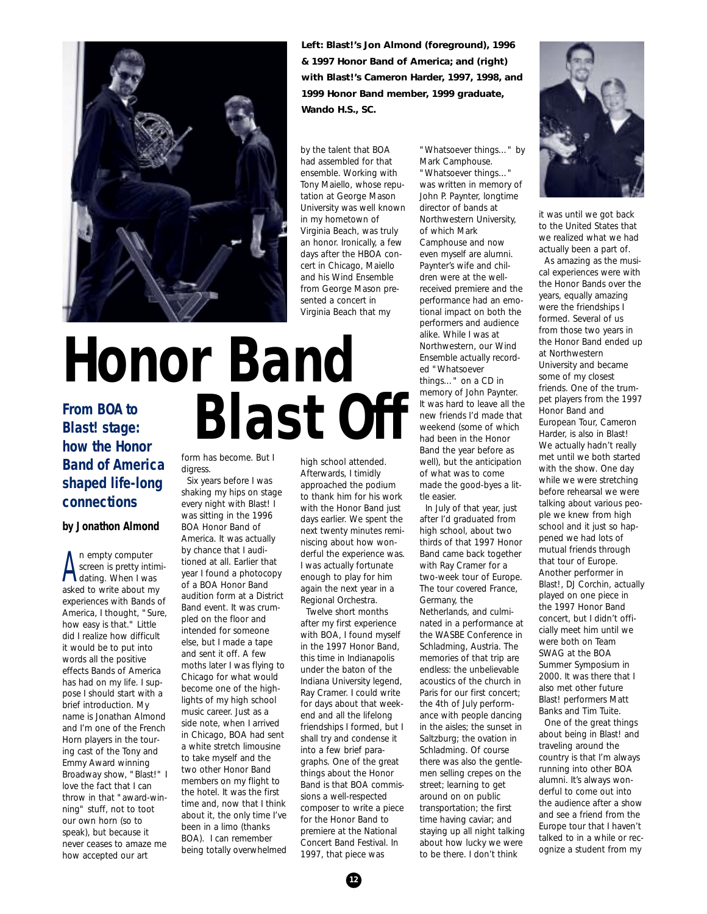

**Left: Blast!'s Jon Almond (foreground), 1996 & 1997 Honor Band of America; and (right) with Blast!'s Cameron Harder, 1997, 1998, and 1999 Honor Band member, 1999 graduate, Wando H.S., SC.**

by the talent that BOA had assembled for that ensemble. Working with Tony Maiello, whose reputation at George Mason University was well known in my hometown of Virginia Beach, was truly an honor. Ironically, a few days after the HBOA concert in Chicago, Maiello and his Wind Ensemble from George Mason presented a concert in Virginia Beach that my

## **Honor Band** From BOA to **Blast!** stage: **Blast Off**

#### **Blast! stage: how the Honor Band of America shaped life-long connections**

#### **by Jonathon Almond**

A n empty computer<br>screen is pretty intir<br>dating. When I was n empty computer screen is pretty intimiasked to write about my experiences with Bands of America, I thought, "Sure, how easy is that." Little did I realize how difficult it would be to put into words all the positive effects Bands of America has had on my life. I suppose I should start with a brief introduction. My name is Jonathan Almond and I'm one of the French Horn players in the touring cast of the Tony and Emmy Award winning Broadway show, "Blast!" I love the fact that I can throw in that "award-winning" stuff, not to toot our own horn (so to speak), but because it never ceases to amaze me how accepted our art

form has become. But I digress

Six years before I was shaking my hips on stage every night with Blast! I was sitting in the 1996 BOA Honor Band of America. It was actually by chance that I auditioned at all. Earlier that year I found a photocopy of a BOA Honor Band audition form at a District Band event. It was crumpled on the floor and intended for someone else, but I made a tape and sent it off. A few moths later I was flying to Chicago for what would become one of the highlights of my high school music career. Just as a side note, when I arrived in Chicago, BOA had sent a white stretch limousine to take myself and the two other Honor Band members on my flight to the hotel. It was the first time and, now that I think about it, the only time I've been in a limo (thanks BOA). I can remember being totally overwhelmed

high school attended. Afterwards, I timidly approached the podium to thank him for his work with the Honor Band just days earlier. We spent the next twenty minutes reminiscing about how wonderful the experience was. I was actually fortunate enough to play for him again the next year in a Regional Orchestra.

Twelve short months after my first experience with BOA, I found myself in the 1997 Honor Band, this time in Indianapolis under the baton of the Indiana University legend, Ray Cramer. I could write for days about that weekend and all the lifelong friendships I formed, but I shall try and condense it into a few brief paragraphs. One of the great things about the Honor Band is that BOA commissions a well-respected composer to write a piece for the Honor Band to premiere at the National Concert Band Festival. In 1997, that piece was

"Whatsoever things…" by Mark Camphouse. "Whatsoever things…" was written in memory of John P. Paynter, longtime director of bands at Northwestern University, of which Mark Camphouse and now even myself are alumni. Paynter's wife and children were at the wellreceived premiere and the performance had an emotional impact on both the performers and audience alike. While I was at Northwestern, our Wind Ensemble actually recorded "Whatsoever things…" on a CD in memory of John Paynter. It was hard to leave all the new friends I'd made that weekend (some of which had been in the Honor Band the year before as well), but the anticipation of what was to come made the good-byes a little easier.

In July of that year, just after I'd graduated from high school, about two thirds of that 1997 Honor Band came back together with Ray Cramer for a two-week tour of Europe. The tour covered France, Germany, the Netherlands, and culminated in a performance at the WASBE Conference in Schladming, Austria. The memories of that trip are endless: the unbelievable acoustics of the church in Paris for our first concert; the 4th of July performance with people dancing in the aisles; the sunset in Saltzburg; the ovation in Schladming. Of course there was also the gentlemen selling crepes on the street; learning to get around on on public transportation; the first time having caviar; and staying up all night talking about how lucky we were to be there. I don't think



it was until we got back to the United States that we realized what we had actually been a part of.

As amazing as the musical experiences were with the Honor Bands over the years, equally amazing were the friendships I formed. Several of us from those two years in the Honor Band ended up at Northwestern University and became some of my closest friends. One of the trumpet players from the 1997 Honor Band and European Tour, Cameron Harder, is also in Blast! We actually hadn't really met until we both started with the show. One day while we were stretching before rehearsal we were talking about various people we knew from high school and it just so happened we had lots of mutual friends through that tour of Europe. Another performer in Blast!, DJ Corchin, actually played on one piece in the 1997 Honor Band concert, but I didn't officially meet him until we were both on Team SWAG at the BOA Summer Symposium in 2000. It was there that I also met other future Blast! performers Matt Banks and Tim Tuite.

One of the great things about being in Blast! and traveling around the country is that I'm always running into other BOA alumni. It's always wonderful to come out into the audience after a show and see a friend from the Europe tour that I haven't talked to in a while or recognize a student from my

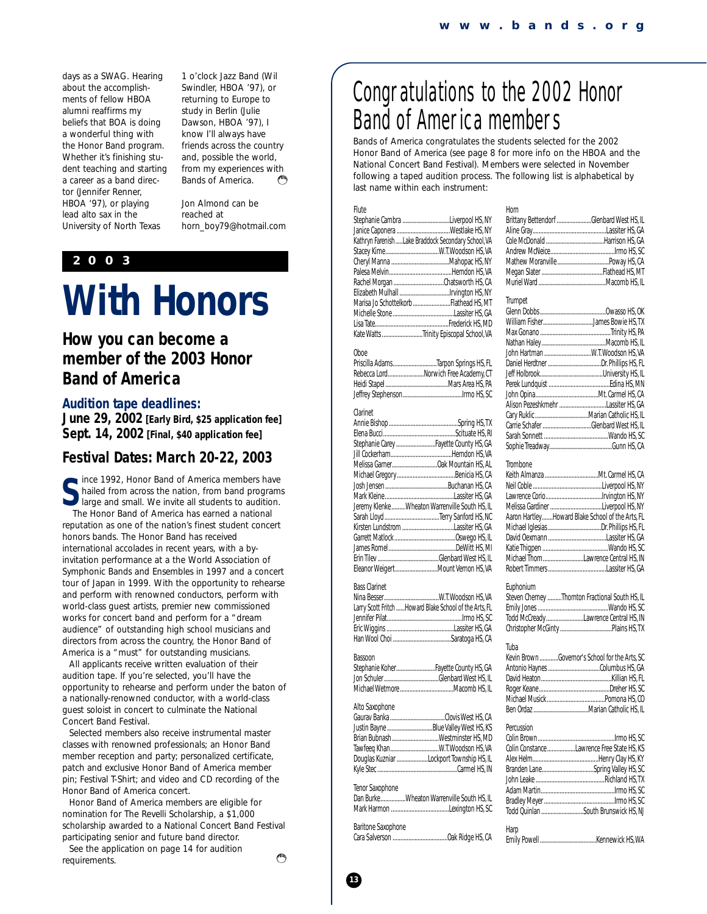days as a SWAG. Hearing about the accomplishments of fellow HBOA alumni reaffirms my beliefs that BOA is doing a wonderful thing with the Honor Band program. Whether it's finishing student teaching and starting a career as a band director (Jennifer Renner, HBOA '97), or playing lead alto sax in the University of North Texas

1 o'clock Jazz Band (Wil Swindler, HBOA '97), or returning to Europe to study in Berlin (Julie Dawson, HBOA '97), I know I'll always have friends across the country and, possible the world, from my experiences with Bands of America. يتطلم

*Jon Almond can be reached at horn\_boy79@hotmail.com*

#### **2003**

### **With Honors**

#### **How you can become a member of the 2003 Honor Band of America**

#### **Audition tape deadlines:**

**June 29, 2002 [Early Bird, \$25 application fee] Sept. 14, 2002 [Final, \$40 application fee]**

#### **Festival Dates: March 20-22, 2003**

**S** ince 1992, Honor Band of America members have hailed from across the nation, from band program large and small. We invite all students to audition. hailed from across the nation, from band programs large and small. We invite all students to audition. The Honor Band of America has earned a national reputation as one of the nation's finest student concert honors bands. The Honor Band has received international accolades in recent years, with a byinvitation performance at a the World Association of Symphonic Bands and Ensembles in 1997 and a concert tour of Japan in 1999. With the opportunity to rehearse and perform with renowned conductors, perform with world-class guest artists, premier new commissioned works for concert band and perform for a "dream audience" of outstanding high school musicians and directors from across the country, the Honor Band of America is a "must" for outstanding musicians.

All applicants receive written evaluation of their audition tape. If you're selected, you'll have the opportunity to rehearse and perform under the baton of a nationally-renowned conductor, with a world-class guest soloist in concert to culminate the National Concert Band Festival.

Selected members also receive instrumental master classes with renowned professionals; an Honor Band member reception and party; personalized certificate, patch and exclusive Honor Band of America member pin; Festival T-Shirt; and video and CD recording of the Honor Band of America concert.

Honor Band of America members are eligible for nomination for The Revelli Scholarship, a \$1,000 scholarship awarded to a National Concert Band Festival participating senior and future band director.

See the application on page 14 for audition requirements.

### Congratulations to the 2002 Honor Band of America members

Bands of America congratulates the students selected for the 2002 Honor Band of America (see page 8 for more info on the HBOA and the National Concert Band Festival). Members were selected in November following a taped audition process. The following list is alphabetical by last name within each instrument:

**Trumpet** 

#### Flute

| Stephanie Cambra Liverpool HS, NY                  |
|----------------------------------------------------|
|                                                    |
| Kathryn FarenishLake Braddock Secondary School, VA |
|                                                    |
|                                                    |
|                                                    |
|                                                    |
|                                                    |
| Marisa Jo Schottelkorb Flathead HS, MT             |
|                                                    |
|                                                    |
| Kate Watts Trinity Episcopal School, VA            |

#### Ohne

|                                      | Priscilla AdamsTarpon Springs HS, FL |
|--------------------------------------|--------------------------------------|
| Rebecca LordNorwich Free Academy, CT |                                      |
|                                      |                                      |
|                                      |                                      |

#### Clarinet

| Stephanie Carey  Fayette County HS, GA         |
|------------------------------------------------|
|                                                |
|                                                |
|                                                |
|                                                |
|                                                |
| Jeremy Klenke Wheaton Warrenville South HS, IL |
|                                                |
|                                                |
|                                                |
|                                                |
|                                                |
| Eleanor WeigertMount Vernon HS, VA             |

#### Bass Clarinet

| Larry Scott Fritch  Howard Blake School of the Arts, FL |
|---------------------------------------------------------|
|                                                         |
|                                                         |
|                                                         |
|                                                         |

#### Bassoon

| Stephanie KoherFayette County HS, GA |
|--------------------------------------|
|                                      |
|                                      |

#### Alto Saxophone

|                 | Justin Bayne Blue Valley West HS, KS     |
|-----------------|------------------------------------------|
|                 |                                          |
|                 | Tawfeeq Khan W.T. Woodson HS, VA         |
|                 | Douglas Kuzniar Lockport Township HS, IL |
|                 |                                          |
|                 |                                          |
| Tenor Saxophone |                                          |

#### Dan Burke................Wheaton Warrenville South HS, IL Mark Harmon .....................................Lexington HS, SC Baritone Saxophone

| ησιτιστις ασνοριτοιτς |  |  |
|-----------------------|--|--|
|                       |  |  |

| Horn                                     |  |
|------------------------------------------|--|
| Brittany Bettendorf Glenbard West HS, IL |  |
|                                          |  |
|                                          |  |
|                                          |  |
|                                          |  |
|                                          |  |
|                                          |  |

|            | William FisherJames Bowie HS, TX                 |
|------------|--------------------------------------------------|
|            |                                                  |
|            |                                                  |
|            |                                                  |
|            |                                                  |
|            |                                                  |
|            |                                                  |
|            |                                                  |
|            | Alison Pezeshkmehr Lassiter HS, GA               |
|            |                                                  |
|            | Carrie Schafer Glenbard West HS, IL              |
|            |                                                  |
|            |                                                  |
|            |                                                  |
| Trombone   |                                                  |
|            |                                                  |
|            |                                                  |
|            |                                                  |
|            | Melissa Gardiner Liverpool HS, NY                |
|            | Aaron HartleyHoward Blake School of the Arts, FL |
|            |                                                  |
|            |                                                  |
|            |                                                  |
|            | Michael ThomLawrence Central HS, IN              |
|            |                                                  |
|            |                                                  |
| Euphonium  |                                                  |
|            | Steven Cherney Thornton Fractional South HS, IL  |
|            |                                                  |
|            | Todd McCreadyLawrence Central HS, IN             |
|            |                                                  |
|            |                                                  |
| Tuba       |                                                  |
|            | Kevin BrownGovernor's School for the Arts, SC    |
|            |                                                  |
|            |                                                  |
|            |                                                  |
|            |                                                  |
|            |                                                  |
|            |                                                  |
| Percussion |                                                  |
|            |                                                  |
|            | Colin Constance Lawrence Free State HS, KS       |
|            |                                                  |
|            | Branden LaneSpring Valley HS, SC                 |
|            |                                                  |
|            |                                                  |
|            |                                                  |
|            | Todd Quinlan South Brunswick HS, NJ              |
| Harp       |                                                  |
|            |                                                  |

లే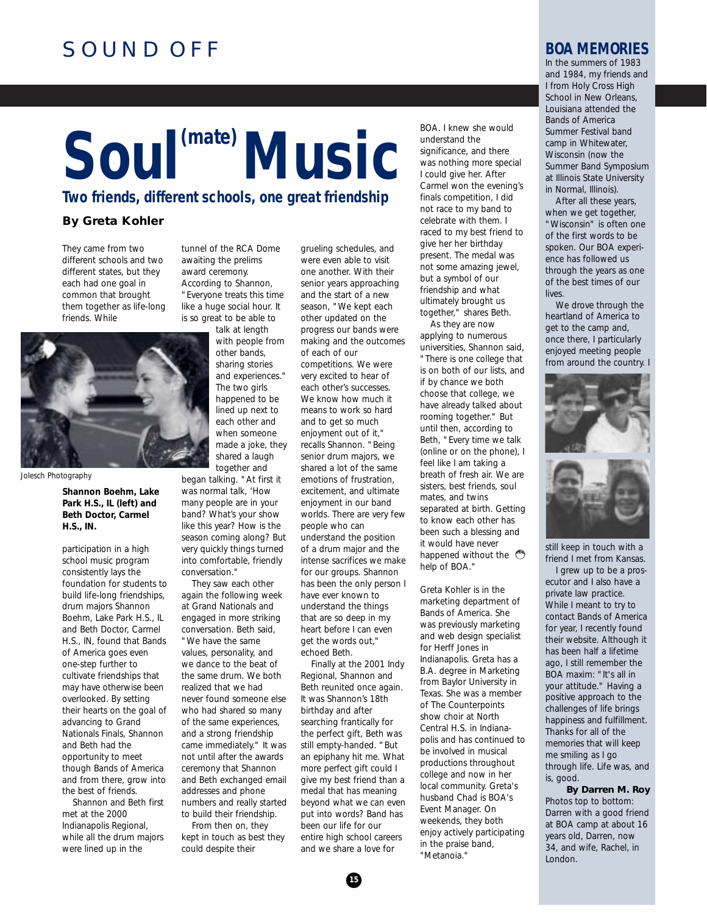#### SOUND OFF

### Soul<sup>(mate)</sup> Music **Two friends, different schools, one great friendship**

**By Greta Kohler**

They came from two different schools and two different states, but they each had one goal in common that brought them together as life-long friends. While

awaiting the prelims award ceremony. According to Shannon, "Everyone treats this time like a huge social hour. It is so great to be able to talk at length

tunnel of the RCA Dome

with people from other bands, sharing stories and experiences." The two girls happened to be lined up next to each other and when someone made a joke, they shared a laugh together and

*Jolesch Photography*

**Shannon Boehm, Lake Park H.S., IL (left) and Beth Doctor, Carmel H.S., IN.**

participation in a high school music program consistently lays the foundation for students to build life-long friendships, drum majors Shannon Boehm, Lake Park H.S., IL and Beth Doctor, Carmel H.S., IN, found that Bands of America goes even one-step further to cultivate friendships that may have otherwise been overlooked. By setting their hearts on the goal of advancing to Grand Nationals Finals, Shannon and Beth had the opportunity to meet though Bands of America and from there, grow into the best of friends.

Shannon and Beth first met at the 2000 Indianapolis Regional, while all the drum majors were lined up in the

began talking. "At first it was normal talk, 'How many people are in your band? What's your show like this year? How is the season coming along? But very quickly things turned into comfortable, friendly conversation."

They saw each other again the following week at Grand Nationals and engaged in more striking conversation. Beth said, 'We have the same values, personality, and we dance to the beat of the same drum. We both realized that we had never found someone else who had shared so many of the same experiences, and a strong friendship came immediately." It was not until after the awards ceremony that Shannon and Beth exchanged email addresses and phone numbers and really started to build their friendship.

From then on, they kept in touch as best they could despite their

grueling schedules, and were even able to visit one another. With their senior years approaching and the start of a new season, "We kept each other updated on the progress our bands were making and the outcomes of each of our competitions. We were very excited to hear of each other's successes. We know how much it means to work so hard and to get so much enjoyment out of it," recalls Shannon. "Being senior drum majors, we shared a lot of the same emotions of frustration. excitement, and ultimate enjoyment in our band worlds. There are very few people who can understand the position of a drum major and the intense sacrifices we make for our groups. Shannon has been the only person I have ever known to understand the things that are so deep in my heart before I can even get the words out," echoed Beth.

Finally at the 2001 Indy Regional, Shannon and Beth reunited once again. It was Shannon's 18th birthday and after searching frantically for the perfect gift, Beth was still empty-handed. "But an epiphany hit me. What more perfect gift could I give my best friend than a medal that has meaning beyond what we can even put into words? Band has been our life for our entire high school careers and we share a love for

BOA. I knew she would understand the significance, and there was nothing more special I could give her. After Carmel won the evening's finals competition, I did not race to my band to celebrate with them. I raced to my best friend to give her her birthday present. The medal was not some amazing jewel, but a symbol of our friendship and what ultimately brought us together," shares Beth.

As they are now applying to numerous universities, Shannon said, "There is one college that is on both of our lists, and if by chance we both choose that college, we have already talked about rooming together." But until then, according to Beth, "Every time we talk (online or on the phone), I feel like I am taking a breath of fresh air. We are sisters, best friends, soul mates, and twins separated at birth. Getting to know each other has been such a blessing and it would have never happened without the  $\binom{25}{3}$ help of BOA."

*Greta Kohler is in the marketing department of Bands of America. She was previously marketing and web design specialist for Herff Jones in Indianapolis. Greta has a B.A. degree in Marketing from Baylor University in Texas. She was a member of The Counterpoints show choir at North Central H.S. in Indianapolis and has continued to be involved in musical productions throughout college and now in her local community. Greta's husband Chad is BOA's Event Manager. On weekends, they both enjoy actively participating in the praise band, "Metanoia."*

#### **BOA MEMORIES**

In the summers of 1983 and 1984, my friends and I from Holy Cross High School in New Orleans, Louisiana attended the Bands of America Summer Festival band camp in Whitewater, Wisconsin (now the Summer Band Symposium at Illinois State University in Normal, Illinois).

After all these years, when we get together, "Wisconsin" is often one of the first words to be spoken. Our BOA experience has followed us through the years as one of the best times of our **lives** 

We drove through the heartland of America to get to the camp and, once there, I particularly enjoyed meeting people from around the country. I



still keep in touch with a friend I met from Kansas.

I grew up to be a prosecutor and I also have a private law practice. While I meant to try to contact Bands of America for year, I recently found their website. Although it has been half a lifetime ago, I still remember the BOA maxim: "It's all in your attitude." Having a positive approach to the challenges of life brings happiness and fulfillment. Thanks for all of the memories that will keep me smiling as I go through life. Life was, and is, good.

**By Darren M. Roy** *Photos top to bottom: Darren with a good friend at BOA camp at about 16 years old, Darren, now 34, and wife, Rachel, in London.* 

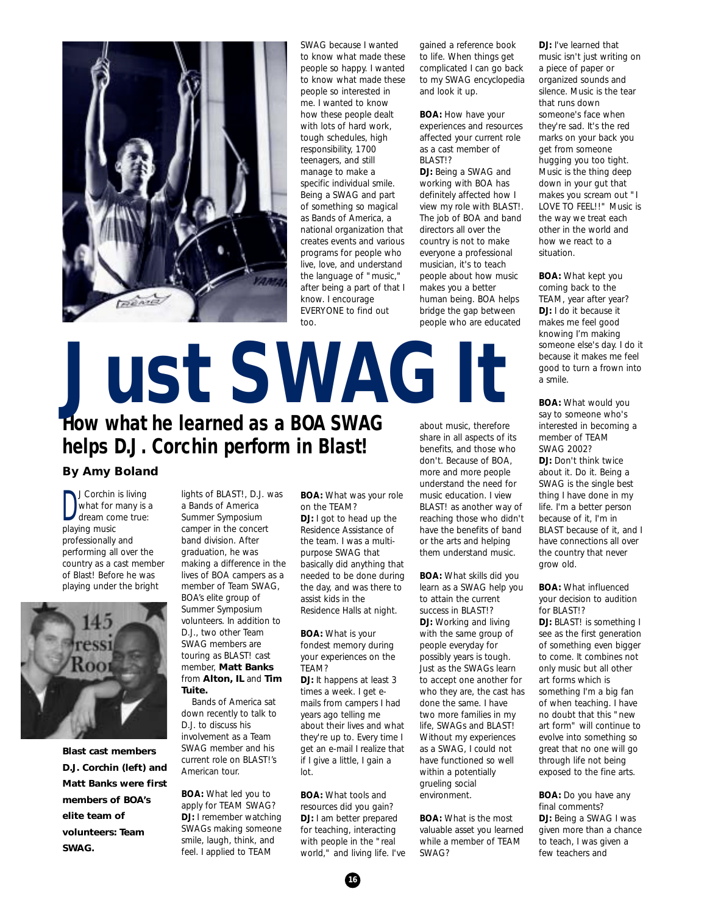

SWAG because I wanted to know what made these people so happy. I wanted to know what made these people so interested in me. I wanted to know how these people dealt with lots of hard work, tough schedules, high responsibility, 1700 teenagers, and still manage to make a specific individual smile. Being a SWAG and part of something so magical as Bands of America, a national organization that creates events and various programs for people who live, love, and understand the language of "music," after being a part of that I know. I encourage EVERYONE to find out too.

gained a reference book to life. When things get complicated I can go back to my SWAG encyclopedia and look it up.

**BOA:** How have your experiences and resources affected your current role as a cast member of BLAST!? **DJ:** Being a SWAG and working with BOA has definitely affected how I view my role with BLAST!. The job of BOA and band directors all over the country is not to make everyone a professional musician, it's to teach people about how music makes you a better human being. BOA helps bridge the gap between people who are educated

### about music, therefore **How what he learned as a BOA SWAG helps D.J. Corchin perform in Blast! Just SWAG It**

#### **By Amy Boland**

D J Corchin is living what for many is a dream come true: playing music professionally and performing all over the country as a cast member of Blast! Before he was playing under the bright



**Blast cast members D.J. Corchin (left) and Matt Banks were first members of BOA's elite team of volunteers: Team SWAG.**

lights of BLAST!, D.J. was a Bands of America Summer Symposium camper in the concert band division. After graduation, he was making a difference in the lives of BOA campers as a member of Team SWAG, BOA's elite group of Summer Symposium volunteers. In addition to D. J., two other Team SWAG members are touring as BLAST! cast member, **Matt Banks** from **Alton, IL** and **Tim**

**Tuite.** Bands of America sat down recently to talk to D.J. to discuss his involvement as a Team SWAG member and his current role on BLAST!'s American tour.

**BOA:** What led you to apply for TEAM SWAG? **DJ:** I remember watching SWAGs making someone smile, laugh, think, and feel. I applied to TEAM

**BOA:** What was your role on the TEAM? **DJ:** I got to head up the Residence Assistance of the team. I was a multipurpose SWAG that basically did anything that needed to be done during the day, and was there to assist kids in the Residence Halls at night.

**BOA:** What is your fondest memory during your experiences on the TEAM?

**DJ:** It happens at least 3 times a week. I get emails from campers I had years ago telling me about their lives and what they're up to. Every time I get an e-mail I realize that if I give a little, I gain a lot.

**BOA:** What tools and resources did you gain? **DJ:** I am better prepared for teaching, interacting with people in the "real world," and living life. I've share in all aspects of its benefits, and those who don't. Because of BOA, more and more people understand the need for music education. I view BLAST! as another way of reaching those who didn't have the benefits of band or the arts and helping them understand music.

**BOA:** What skills did you learn as a SWAG help you to attain the current success in BLAST!? **DJ:** Working and living with the same group of people everyday for possibly years is tough. Just as the SWAGs learn to accept one another for who they are, the cast has done the same. I have two more families in my life, SWAGs and BLAST! Without my experiences as a SWAG, I could not have functioned so well within a potentially grueling social environment.

**BOA:** What is the most valuable asset you learned while a member of TEAM SWAG?

**DJ:** I've learned that music isn't just writing on a piece of paper or organized sounds and silence. Music is the tear that runs down someone's face when they're sad. It's the red marks on your back you get from someone hugging you too tight. Music is the thing deep down in your gut that makes you scream out "I LOVE TO FEEL!!" Music is the way we treat each other in the world and how we react to a situation.

**BOA:** What kept you coming back to the TEAM, year after year? DJ: I do it because it makes me feel good knowing I'm making someone else's day. I do it because it makes me feel good to turn a frown into a smile.

**BOA:** What would you say to someone who's interested in becoming a member of TEAM SWAG 2002? **DJ:** Don't think twice about it. Do it. Being a SWAG is the single best thing I have done in my life. I'm a better person because of it, I'm in BLAST because of it, and I have connections all over the country that never grow old.

**BOA:** What influenced your decision to audition .<br>for BLAST!? **DJ: BLAST!** is something I see as the first generation of something even bigger to come. It combines not only music but all other art forms which is something I'm a big fan of when teaching. I have no doubt that this "new art form" will continue to evolve into something so great that no one will go through life not being exposed to the fine arts.

**BOA:** Do you have any final comments? **DJ:** Being a SWAG I was given more than a chance to teach, I was given a few teachers and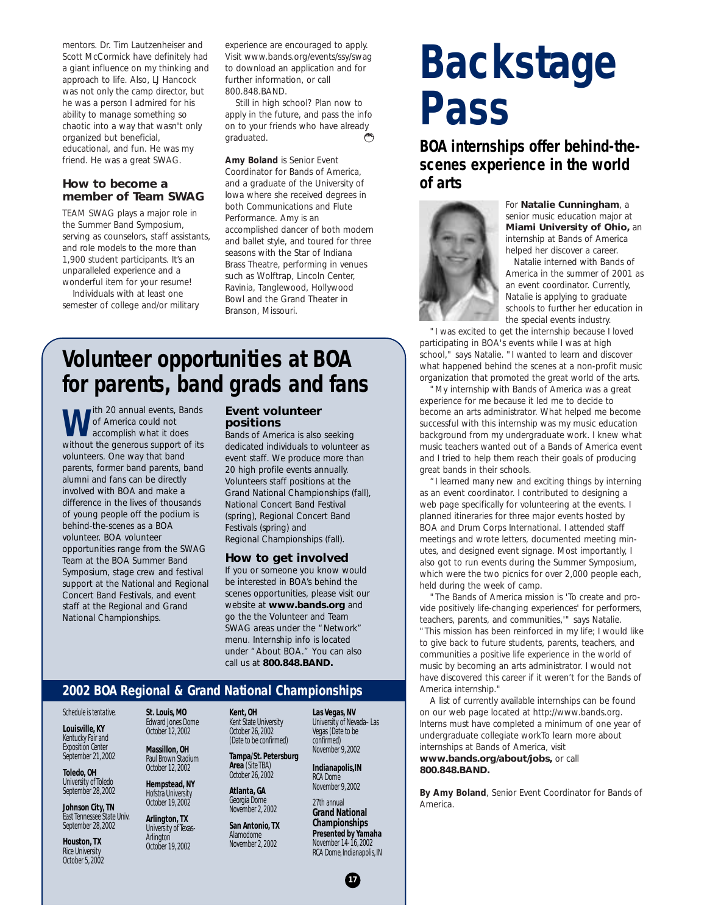mentors. Dr. Tim Lautzenheiser and Scott McCormick have definitely had a giant influence on my thinking and approach to life. Also, LJ Hancock was not only the camp director, but he was a person I admired for his ability to manage something so chaotic into a way that wasn't only organized but beneficial, educational, and fun. He was my friend. He was a great SWAG.

#### **How to become a member of Team SWAG**

TEAM SWAG plays a major role in the Summer Band Symposium, serving as counselors, staff assistants, and role models to the more than 1,900 student participants. It's an unparalleled experience and a wonderful item for your resume!

Individuals with at least one semester of college and/or military experience are encouraged to apply. Visit www.bands.org/events/ssy/swag to download an application and for further information, or call 800.848.BAND.

Still in high school? Plan now to apply in the future, and pass the info on to your friends who have already graduated.

*Amy Boland is Senior Event Coordinator for Bands of America, and a graduate of the University of Iowa where she received degrees in both Communications and Flute Performance. Amy is an accomplished dancer of both modern and ballet style, and toured for three seasons with the Star of Indiana Brass Theatre, performing in venues such as Wolftrap, Lincoln Center, Ravinia, Tanglewood, Hollywood Bowl and the Grand Theater in Branson, Missouri.*

#### **Volunteer opportunities at BOA for parents, band grads and fans**

**ith 20 annual events, Bands** of America could not accomplish what it does without the generous support of its volunteers. One way that band parents, former band parents, band alumni and fans can be directly involved with BOA and make a difference in the lives of thousands of young people off the podium is behind-the-scenes as a BOA volunteer. BOA volunteer opportunities range from the SWAG Team at the BOA Summer Band Symposium, stage crew and festival support at the National and Regional Concert Band Festivals, and event staff at the Regional and Grand National Championships.

#### **Event volunteer positions**

Bands of America is also seeking dedicated individuals to volunteer as event staff. We produce more than 20 high profile events annually. Volunteers staff positions at the Grand National Championships (fall), National Concert Band Festival (spring), Regional Concert Band Festivals (spring) and Regional Championships (fall).

#### **How to get involved**

If you or someone you know would be interested in BOA's behind the scenes opportunities, please visit our website at **www.bands.org** and go the the Volunteer and Team SWAG areas under the "Network" menu. Internship info is located under "About BOA." You can also call us at **800.848.BAND.**

#### **2002 BOA Regional & Grand National Championships**

*Schedule is tentative.*

**Louisville, KY** Kentucky Fair and Exposition Center September 21, 2002

**Toledo, OH** University of Toledo September 28, 2002

**Johnson City, TN** East Tennessee State Univ. September 28, 2002

**Houston, TX** Rice University October 5, 2002 **St. Louis, MO** Edward Jones Dome October 12, 2002

**Massillon, OH** Paul Brown Stadium October 12, 2002

**Hempstead, NY** Hofstra University

October 19, 2002 **Arlington, TX**

University of Texas-**Arlington** October 19, 2002

**Kent, OH** Kent State University October 26, 2002 (Date to be confirmed)

**Tampa/St. Petersburg Area** (Site TBA)

October 26, 2002 **Atlanta, GA** Georgia Dome

November 2, 2002 **San Antonio, TX** Alamodome November 2, 2002

**Las Vegas, NV** University of Nevada–Las Vegas (Date to be confirmed) November 9, 2002

**Indianapolis,IN** RCA Dome November 9, 2002

27th annual **Grand National Championships Presented by Yamaha** November 14-16, 2002 RCA Dome, Indianapolis, IN

**17**

### **Backstage Pass**

**BOA internships offer behind-thescenes experience in the world of arts**



For **Natalie Cunningham**, a senior music education major at **Miami University of Ohio,** an internship at Bands of America helped her discover a career.

Natalie interned with Bands of America in the summer of 2001 as an event coordinator. Currently, Natalie is applying to graduate schools to further her education in the special events industry.

"I was excited to get the internship because I loved participating in BOA's events while I was at high school," says Natalie. "I wanted to learn and discover what happened behind the scenes at a non-profit music organization that promoted the great world of the arts.

"My internship with Bands of America was a great experience for me because it led me to decide to become an arts administrator. What helped me become successful with this internship was my music education background from my undergraduate work. I knew what music teachers wanted out of a Bands of America event and I tried to help them reach their goals of producing great bands in their schools.

"I learned many new and exciting things by interning as an event coordinator. I contributed to designing a web page specifically for volunteering at the events. I planned itineraries for three major events hosted by BOA and Drum Corps International. I attended staff meetings and wrote letters, documented meeting minutes, and designed event signage. Most importantly, I also got to run events during the Summer Symposium, which were the two picnics for over 2,000 people each, held during the week of camp.

"The Bands of America mission is 'To create and provide positively life-changing experiences' for performers, teachers, parents, and communities,'" says Natalie. "This mission has been reinforced in my life; I would like to give back to future students, parents, teachers, and communities a positive life experience in the world of music by becoming an arts administrator. I would not have discovered this career if it weren't for the Bands of America internship."

A list of currently available internships can be found on our web page located at http://www.bands.org. Interns must have completed a minimum of one year of undergraduate collegiate workTo learn more about internships at Bands of America, visit **www.bands.org/about/jobs,** or call

**800.848.BAND.**

*By Amy Boland, Senior Event Coordinator for Bands of America.*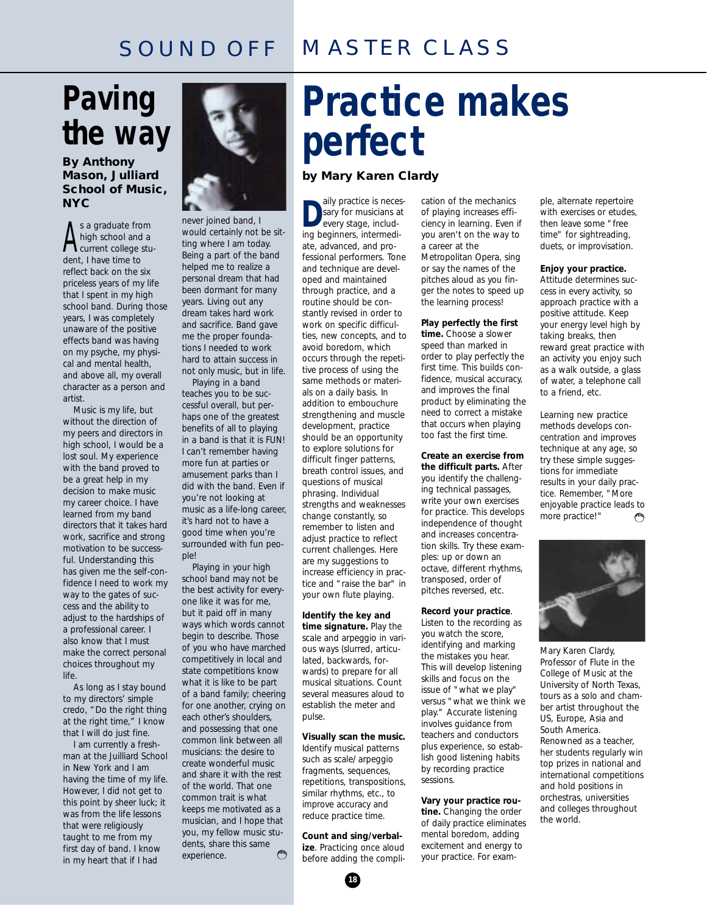#### MASTER CLASS SOUND OFF

### **Paving the way**

#### **By Anthony Mason, Julliard School of Music, NYC**

s a graduate from<br>high school and<br>current college<br>dent, I have time to s a graduate from high school and a current college stureflect back on the six priceless years of my life that I spent in my high school band. During those years, I was completely unaware of the positive effects band was having on my psyche, my physical and mental health, and above all, my overall character as a person and artist.

Music is my life, but without the direction of my peers and directors in high school, I would be a lost soul. My experience with the band proved to be a great help in my decision to make music my career choice. I have learned from my band directors that it takes hard work, sacrifice and strong motivation to be successful. Understanding this has given me the self-confidence I need to work my way to the gates of success and the ability to adjust to the hardships of a professional career. I also know that I must make the correct personal choices throughout my life.

As long as I stay bound to my directors' simple credo, "Do the right thing at the right time," I know that I will do just fine.

I am currently a freshman at the Juilliard School in New York and I am having the time of my life. However, I did not get to this point by sheer luck; it was from the life lessons that were religiously taught to me from my first day of band. I know in my heart that if I had



never joined band, I would certainly not be sitting where I am today. Being a part of the band helped me to realize a personal dream that had been dormant for many years. Living out any dream takes hard work and sacrifice. Band gave me the proper foundations I needed to work hard to attain success in not only music, but in life.

Playing in a band teaches you to be successful overall, but perhaps one of the greatest benefits of all to playing in a band is that it is FUN! I can't remember having more fun at parties or amusement parks than I did with the band. Even if you're not looking at music as a life-long career, it's hard not to have a good time when you're surrounded with fun people!

Playing in your high school band may not be the best activity for everyone like it was for me, but it paid off in many ways which words cannot begin to describe. Those of you who have marched competitively in local and state competitions know what it is like to be part of a band family; cheering for one another, crying on each other's shoulders, and possessing that one common link between all musicians: the desire to create wonderful music and share it with the rest of the world. That one common trait is what keeps me motivated as a musician, and I hope that you, my fellow music students, share this same experience. ويحتهم

### **Practice makes perfect**

#### **by Mary Karen Clardy**

**D** aily practice is necessary for musicians at every stage, including beginners, intermediate, advanced, and professional performers. Tone and technique are developed and maintained through practice, and a routine should be constantly revised in order to work on specific difficulties, new concepts, and to avoid boredom, which occurs through the repetitive process of using the same methods or materials on a daily basis. In addition to embouchure strengthening and muscle development, practice should be an opportunity to explore solutions for difficult finger patterns, breath control issues, and questions of musical phrasing. Individual strengths and weaknesses change constantly, so remember to listen and adjust practice to reflect current challenges. Here are my suggestions to increase efficiency in practice and "raise the bar" in your own flute playing.

#### **Identify the key and**

**time signature.** Play the scale and arpeggio in various ways (slurred, articulated, backwards, forwards) to prepare for all musical situations. Count several measures aloud to establish the meter and pulse.

#### **Visually scan the music.**

Identify musical patterns such as scale/ arpeggio fragments, sequences, repetitions, transpositions, similar rhythms, etc., to improve accuracy and reduce practice time.

**Count and sing/verbalize**. Practicing once aloud before adding the compli-

cation of the mechanics of playing increases efficiency in learning. Even if you aren't on the way to a career at the Metropolitan Opera, sing or say the names of the pitches aloud as you finger the notes to speed up the learning process!

**Play perfectly the first time.** Choose a slower speed than marked in order to play perfectly the first time. This builds confidence, musical accuracy, and improves the final product by eliminating the need to correct a mistake that occurs when playing too fast the first time.

**Create an exercise from the difficult parts.** After you identify the challenging technical passages, write your own exercises for practice. This develops independence of thought and increases concentration skills. Try these examples: up or down an octave, different rhythms, transposed, order of pitches reversed, etc.

#### **Record your practice**.

Listen to the recording as you watch the score, identifying and marking the mistakes you hear. This will develop listening skills and focus on the issue of "what we play" versus "what we think we play." Accurate listening involves guidance from teachers and conductors plus experience, so establish good listening habits by recording practice sessions.

#### **Vary your practice rou-**

**tine.** Changing the order of daily practice eliminates mental boredom, adding excitement and energy to your practice. For example, alternate repertoire with exercises or etudes, then leave some "free time" for sightreading, duets, or improvisation.

#### **Enjoy your practice.**

Attitude determines success in every activity, so approach practice with a positive attitude. Keep your energy level high by taking breaks, then reward great practice with an activity you enjoy such as a walk outside, a glass of water, a telephone call to a friend, etc.

Learning new practice methods develops concentration and improves technique at any age, so try these simple suggestions for immediate results in your daily practice. Remember, "More enjoyable practice leads to more practice!" وجحفهم



*Mary Karen Clardy, Professor of Flute in the College of Music at the University of North Texas, tours as a solo and chamber artist throughout the US, Europe, Asia and South America. Renowned as a teacher, her students regularly win top prizes in national and international competitions and hold positions in orchestras, universities and colleges throughout the world.*

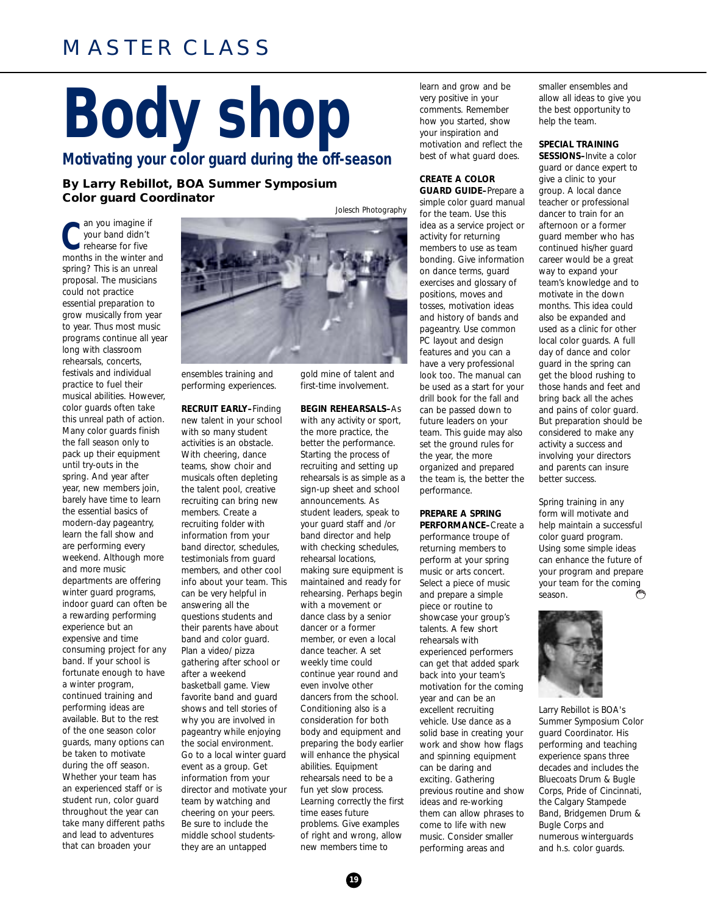#### MASTER CLASS

### **Body shop Motivating your color guard during the off-season**

**By Larry Rebillot, BOA Summer Symposium Color guard Coordinator**

**C** rehearse for five an you imagine if your band didn't months in the winter and spring? This is an unreal proposal. The musicians could not practice essential preparation to grow musically from year to year. Thus most music programs continue all year long with classroom rehearsals, concerts, festivals and individual practice to fuel their musical abilities. However, color guards often take this unreal path of action. Many color guards finish the fall season only to pack up their equipment until try-outs in the spring. And year after year, new members join, barely have time to learn the essential basics of modern-day pageantry, learn the fall show and are performing every weekend. Although more and more music departments are offering winter guard programs, indoor guard can often be a rewarding performing experience but an expensive and time consuming project for any band. If your school is fortunate enough to have a winter program, continued training and performing ideas are available. But to the rest of the one season color guards, many options can be taken to motivate during the off season. Whether your team has an experienced staff or is student run, color guard throughout the year can take many different paths and lead to adventures that can broaden your



ensembles training and performing experiences.

#### **RECRUIT EARLY–**Finding

new talent in your school with so many student activities is an obstacle. With cheering, dance teams, show choir and musicals often depleting the talent pool, creative recruiting can bring new members. Create a recruiting folder with information from your band director, schedules, testimonials from guard members, and other cool info about your team. This can be very helpful in answering all the questions students and their parents have about band and color guard. Plan a video/ pizza gathering after school or after a weekend basketball game. View favorite band and guard shows and tell stories of why you are involved in pageantry while enjoying the social environment. Go to a local winter guard event as a group. Get information from your director and motivate your team by watching and cheering on your peers. Be sure to include the middle school studentsthey are an untapped

gold mine of talent and first-time involvement.

#### **BEGIN REHEARSALS–**As with any activity or sport,

the more practice, the better the performance. Starting the process of recruiting and setting up rehearsals is as simple as a sign-up sheet and school announcements. As student leaders, speak to your guard staff and /or band director and help with checking schedules, rehearsal locations, making sure equipment is maintained and ready for rehearsing. Perhaps begin with a movement or dance class by a senior dancer or a former member, or even a local dance teacher. A set weekly time could continue year round and even involve other dancers from the school. Conditioning also is a consideration for both body and equipment and preparing the body earlier will enhance the physical abilities. Equipment rehearsals need to be a fun yet slow process. Learning correctly the first time eases future problems. Give examples of right and wrong, allow new members time to

learn and grow and be very positive in your comments. Remember how you started, show your inspiration and motivation and reflect the best of what guard does.

#### **CREATE A COLOR**

**GUARD GUIDE–**Prepare a simple color guard manual for the team. Use this idea as a service project or activity for returning members to use as team bonding. Give information on dance terms, guard exercises and glossary of positions, moves and tosses, motivation ideas and history of bands and pageantry. Use common PC layout and design features and you can a have a very professional look too. The manual can be used as a start for your drill book for the fall and can be passed down to future leaders on your team. This guide may also set the ground rules for the year, the more organized and prepared the team is, the better the performance.

#### **PREPARE A SPRING PERFORMANCE–**Create a

performance troupe of returning members to perform at your spring music or arts concert. Select a piece of music and prepare a simple piece or routine to showcase your group's talents. A few short rehearsals with experienced performers can get that added spark back into your team's motivation for the coming year and can be an excellent recruiting vehicle. Use dance as a solid base in creating your work and show how flags and spinning equipment can be daring and exciting. Gathering previous routine and show ideas and re-working them can allow phrases to come to life with new music. Consider smaller performing areas and

smaller ensembles and allow all ideas to give you the best opportunity to help the team.

#### **SPECIAL TRAINING SESSIONS–**Invite a color

guard or dance expert to give a clinic to your group. A local dance teacher or professional dancer to train for an afternoon or a former guard member who has continued his/her guard career would be a great way to expand your team's knowledge and to motivate in the down months. This idea could also be expanded and used as a clinic for other local color guards. A full day of dance and color guard in the spring can get the blood rushing to those hands and feet and bring back all the aches and pains of color guard. But preparation should be considered to make any activity a success and involving your directors and parents can insure better success.

Spring training in any form will motivate and help maintain a successful color guard program. Using some simple ideas can enhance the future of your program and prepare your team for the coming season. تيهيها



*Larry Rebillot is BOA's Summer Symposium Color guard Coordinator. His performing and teaching experience spans three decades and includes the Bluecoats Drum & Bugle Corps, Pride of Cincinnati, the Calgary Stampede Band, Bridgemen Drum & Bugle Corps and numerous winterguards and h.s. color guards.*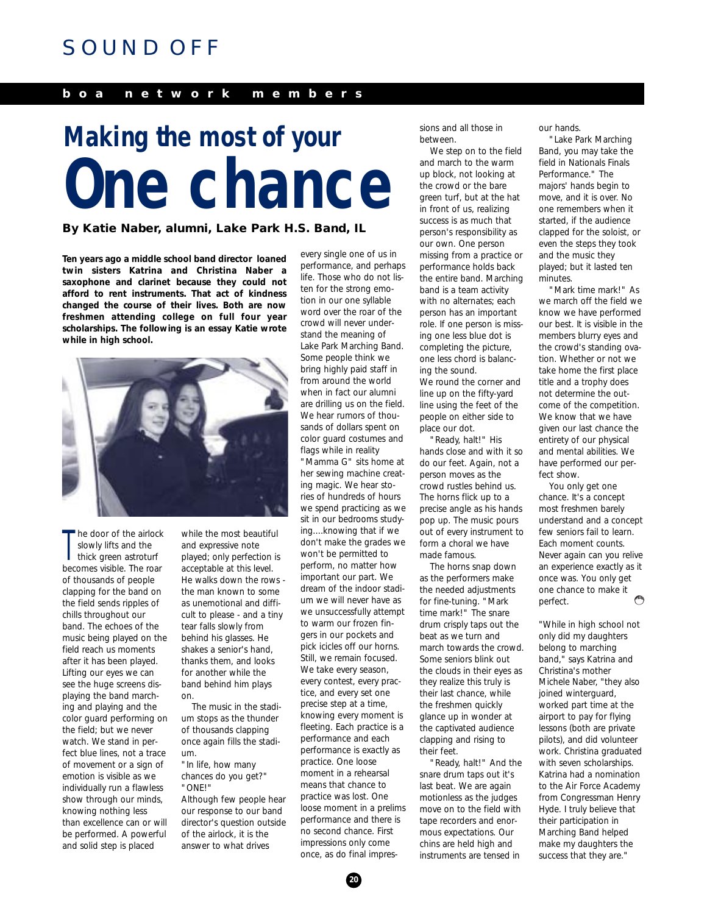#### SOUND OFF

#### **boa network members**

### **One chance Making the most of your**

#### **By Katie Naber, alumni, Lake Park H.S. Band, IL**

**Ten years ago a middle school band director loaned twin sisters Katrina and Christina Naber a saxophone and clarinet because they could not afford to rent instruments. That act of kindness changed the course of their lives. Both are now freshmen attending college on full four year scholarships. The following is an essay Katie wrote while in high school.**



T he door of the airlock slowly lifts and the thick green astroturf becomes visible. The roar of thousands of people clapping for the band on the field sends ripples of chills throughout our band. The echoes of the music being played on the field reach us moments after it has been played. Lifting our eyes we can see the huge screens displaying the band marching and playing and the color guard performing on the field; but we never watch. We stand in perfect blue lines, not a trace of movement or a sign of emotion is visible as we individually run a flawless show through our minds, knowing nothing less than excellence can or will be performed. A powerful and solid step is placed

while the most beautiful and expressive note played; only perfection is acceptable at this level. He walks down the rows the man known to some as unemotional and difficult to please - and a tiny tear falls slowly from behind his glasses. He shakes a senior's hand, thanks them, and looks for another while the band behind him plays on.

The music in the stadium stops as the thunder of thousands clapping once again fills the stadium.

"In life, how many chances do you get?" "ONE!"

Although few people hear our response to our band director's question outside of the airlock, it is the answer to what drives

every single one of us in performance, and perhaps life. Those who do not listen for the strong emotion in our one syllable word over the roar of the crowd will never understand the meaning of Lake Park Marching Band. Some people think we bring highly paid staff in from around the world when in fact our alumni are drilling us on the field. We hear rumors of thousands of dollars spent on color guard costumes and flags while in reality

"Mamma G" sits home at her sewing machine creating magic. We hear stories of hundreds of hours we spend practicing as we sit in our bedrooms studying....knowing that if we don't make the grades we won't be permitted to perform, no matter how important our part. We dream of the indoor stadium we will never have as we unsuccessfully attempt to warm our frozen fingers in our pockets and pick icicles off our horns. Still, we remain focused. We take every season, every contest, every practice, and every set one precise step at a time, knowing every moment is fleeting. Each practice is a performance and each performance is exactly as practice. One loose moment in a rehearsal means that chance to practice was lost. One loose moment in a prelims performance and there is no second chance. First impressions only come once, as do final impressions and all those in between.

We step on to the field and march to the warm up block, not looking at the crowd or the bare green turf, but at the hat in front of us, realizing success is as much that person's responsibility as our own. One person missing from a practice or performance holds back the entire band. Marching band is a team activity with no alternates; each person has an important role. If one person is missing one less blue dot is completing the picture, one less chord is balancing the sound. We round the corner and line up on the fifty-yard line using the feet of the people on either side to place our dot.

"Ready, halt!" His hands close and with it so do our feet. Again, not a person moves as the crowd rustles behind us. The horns flick up to a precise angle as his hands pop up. The music pours out of every instrument to form a choral we have made famous.

The horns snap down as the performers make the needed adjustments for fine-tuning. "Mark time mark!" The snare drum crisply taps out the beat as we turn and march towards the crowd. Some seniors blink out the clouds in their eyes as they realize this truly is their last chance, while the freshmen quickly glance up in wonder at the captivated audience clapping and rising to their feet.

"Ready, halt!" And the snare drum taps out it's last beat. We are again motionless as the judges move on to the field with tape recorders and enormous expectations. Our chins are held high and instruments are tensed in

our hands.

"Lake Park Marching Band, you may take the field in Nationals Finals Performance." The majors' hands begin to move, and it is over. No one remembers when it started, if the audience clapped for the soloist, or even the steps they took and the music they played; but it lasted ten minutes.

"Mark time mark!" As we march off the field we know we have performed our best. It is visible in the members blurry eyes and the crowd's standing ovation. Whether or not we take home the first place title and a trophy does not determine the outcome of the competition. We know that we have given our last chance the entirety of our physical and mental abilities. We have performed our perfect show.

You only get one chance. It's a concept most freshmen barely understand and a concept few seniors fail to learn. Each moment counts. Never again can you relive an experience exactly as it once was. You only get one chance to make it فيخطأ perfect.

*"While in high school not only did my daughters belong to marching band," says Katrina and Christina's mother Michele Naber, "they also joined winterguard, worked part time at the airport to pay for flying lessons (both are private pilots), and did volunteer work. Christina graduated with seven scholarships. Katrina had a nomination to the Air Force Academy from Congressman Henry Hyde. I truly believe that their participation in Marching Band helped make my daughters the success that they are."*

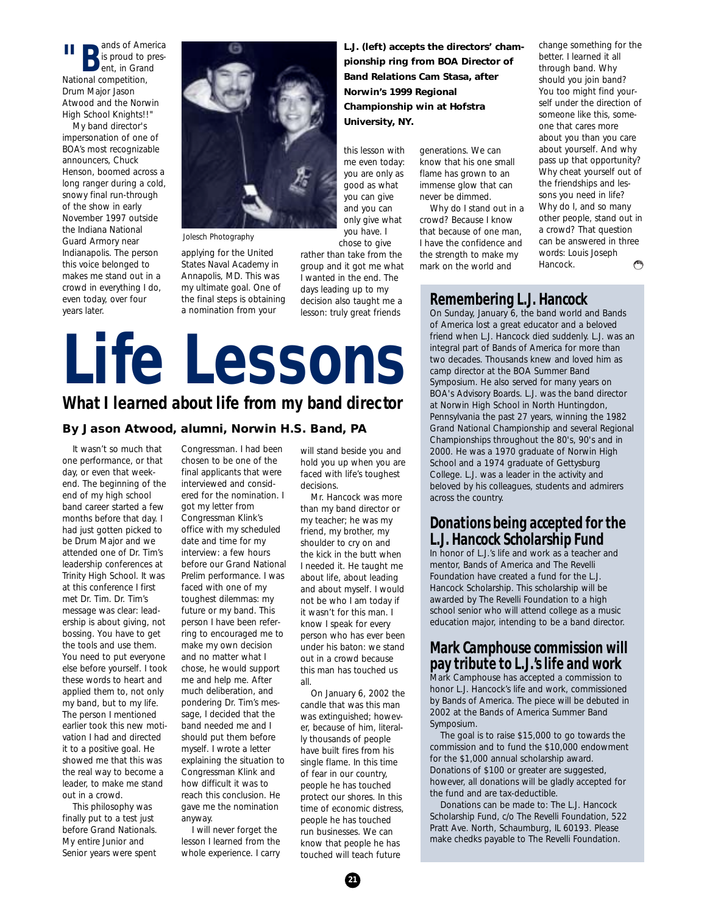**"B** ands of America<br>B is proud to pres-<br>Bent, in Grand is proud to present, in Grand National competition, Drum Major Jason Atwood and the Norwin High School Knights!!"

My band director's impersonation of one of BOA's most recognizable announcers, Chuck Henson, boomed across a long ranger during a cold, snowy final run-through of the show in early November 1997 outside the Indiana National Guard Armory near Indianapolis. The person this voice belonged to makes me stand out in a crowd in everything I do, even today, over four years later.



*Jolesch Photography*

applying for the United States Naval Academy in Annapolis, MD. This was my ultimate goal. One of the final steps is obtaining a nomination from your

**L.J. (left) accepts the directors' championship ring from BOA Director of Band Relations Cam Stasa, after Norwin's 1999 Regional Championship win at Hofstra University, NY.**

this lesson with me even today: you are only as good as what you can give and you can only give what you have. I chose to give

rather than take from the group and it got me what I wanted in the end. The days leading up to my decision also taught me a lesson: truly great friends

#### generations. We can know that his one small flame has grown to an immense glow that can never be dimmed.

Why do I stand out in a crowd? Because I know that because of one man, I have the confidence and the strength to make my mark on the world and

change something for the better. I learned it all through band. Why should you join band? You too might find yourself under the direction of someone like this, someone that cares more about you than you care about yourself. And why pass up that opportunity? Why cheat yourself out of the friendships and lessons you need in life? Why do I, and so many other people, stand out in a crowd? That question can be answered in three words: Louis Joseph Hancock. پيم

#### **Remembering L.J. Hancock**

On Sunday, January 6, the band world and Bands of America lost a great educator and a beloved friend when L.J. Hancock died suddenly. L.J. was an integral part of Bands of America for more than two decades. Thousands knew and loved him as camp director at the BOA Summer Band Symposium. He also served for many years on BOA's Advisory Boards. L.J. was the band director at Norwin High School in North Huntingdon, Pennsylvania the past 27 years, winning the 1982 Grand National Championship and several Regional Championships throughout the 80's, 90's and in 2000. He was a 1970 graduate of Norwin High School and a 1974 graduate of Gettysburg College. L.J. was a leader in the activity and beloved by his colleagues, students and admirers across the country.

#### **Donations being accepted for the L.J. Hancock Scholarship Fund**

In honor of L.J.'s life and work as a teacher and mentor, Bands of America and The Revelli Foundation have created a fund for the L.J. Hancock Scholarship. This scholarship will be awarded by The Revelli Foundation to a high school senior who will attend college as a music education major, intending to be a band director.

#### **Mark Camphouse commission will pay tribute to L.J.'s life and work**

Mark Camphouse has accepted a commission to honor L.J. Hancock's life and work, commissioned by Bands of America. The piece will be debuted in 2002 at the Bands of America Summer Band Symposium.

The goal is to raise \$15,000 to go towards the commission and to fund the \$10,000 endowment for the \$1,000 annual scholarship award. Donations of \$100 or greater are suggested, however, all donations will be gladly accepted for the fund and are tax-deductible.

Donations can be made to: The L.J. Hancock Scholarship Fund, c/o The Revelli Foundation, 522 Pratt Ave. North, Schaumburg, IL 60193. Please make chedks payable to The Revelli Foundation.

### **Life Lessons What I learned about life from my band director**

#### **By Jason Atwood, alumni, Norwin H.S. Band, PA**

It wasn't so much that one performance, or that day, or even that weekend. The beginning of the end of my high school band career started a few months before that day. I had just gotten picked to be Drum Major and we attended one of Dr. Tim's leadership conferences at Trinity High School. It was at this conference I first met Dr. Tim. Dr. Tim's message was clear: leadership is about giving, not bossing. You have to get the tools and use them. You need to put everyone else before yourself. I took these words to heart and applied them to, not only my band, but to my life. The person I mentioned earlier took this new motivation I had and directed it to a positive goal. He showed me that this was the real way to become a leader, to make me stand out in a crowd.

This philosophy was finally put to a test just before Grand Nationals. My entire Junior and Senior years were spent

Congressman. I had been chosen to be one of the final applicants that were interviewed and considered for the nomination. I got my letter from Congressman Klink's office with my scheduled date and time for my interview: a few hours before our Grand National Prelim performance. I was faced with one of my toughest dilemmas: my future or my band. This person I have been referring to encouraged me to make my own decision and no matter what I chose, he would support me and help me. After much deliberation, and pondering Dr. Tim's message, I decided that the band needed me and I should put them before myself. I wrote a letter explaining the situation to Congressman Klink and how difficult it was to reach this conclusion. He gave me the nomination anyway.

I will never forget the lesson I learned from the whole experience. I carry

will stand beside you and hold you up when you are faced with life's toughest decisions.

Mr. Hancock was more than my band director or my teacher; he was my friend, my brother, my shoulder to cry on and the kick in the butt when I needed it. He taught me about life, about leading and about myself. I would not be who I am today if it wasn't for this man. I know I speak for every person who has ever been under his baton: we stand out in a crowd because this man has touched us all.

On January 6, 2002 the candle that was this man was extinguished; however, because of him, literally thousands of people have built fires from his single flame. In this time of fear in our country, people he has touched protect our shores. In this time of economic distress, people he has touched run businesses. We can know that people he has touched will teach future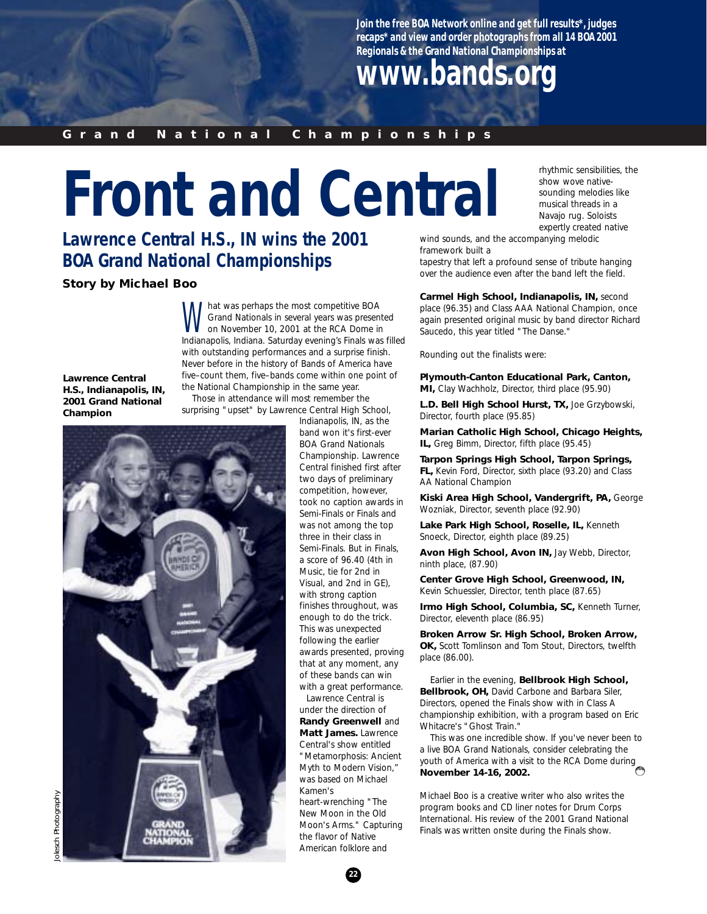**Join the free BOA Network online and get full results\*, judges recaps\* and view and order photographs from all 14 BOA 2001 Regionals & the Grand National Championships at**

### **www.bands.org**

#### **Grand National Championships**

## **Front and Central**

**Lawrence Central H.S., IN wins the 2001 BOA Grand National Championships**

**Story by Michael Boo**

Mat was perhaps the most competitive BOA<br>Grand Nationals in several years was presen<br>on November 10, 2001 at the RCA Dome in Grand Nationals in several years was presented on November 10, 2001 at the RCA Dome in Indianapolis, Indiana. Saturday evening's Finals was filled with outstanding performances and a surprise finish. Never before in the history of Bands of America have five–count them, *five*–bands come within one point of the National Championship in the same year.

**Lawrence Central H.S., Indianapolis, IN, 2001 Grand National Champion**

Those in attendance will most remember the surprising "upset" by Lawrence Central High School,



Indianapolis, IN, as the band won it's first-ever BOA Grand Nationals Championship. Lawrence Central finished first after two days of preliminary competition, however, took no caption awards in Semi-Finals or Finals and was not among the top three in their class in Semi-Finals. But in Finals, a score of 96.40 (4th in Music, tie for 2nd in Visual, and 2nd in GE), with strong caption finishes throughout, was enough to do the trick. This was unexpected following the earlier awards presented, proving that at any moment, any of these bands can win with a great performance. Lawrence Central is

under the direction of **Randy Greenwell** and **Matt James.** Lawrence Central's show entitled "Metamorphosis: Ancient Myth to Modern Vision," was based on Michael Kamen's heart-wrenching "The New Moon in the Old Moon's Arms." Capturing the flavor of Native

rhythmic sensibilities, the show wove nativesounding melodies like musical threads in a Navajo rug. Soloists expertly created native

wind sounds, and the accompanying melodic framework built a

tapestry that left a profound sense of tribute hanging over the audience even after the band left the field.

**Carmel High School, Indianapolis, IN,** second place (96.35) and Class AAA National Champion, once again presented original music by band director Richard Saucedo, this year titled "The Danse."

Rounding out the finalists were:

**Plymouth-Canton Educational Park, Canton, MI,** Clay Wachholz, Director, third place (95.90)

**L.D. Bell High School Hurst, TX,** Joe Grzybowski, Director, fourth place (95.85)

**Marian Catholic High School, Chicago Heights, IL,** Greg Bimm, Director, fifth place (95.45)

**Tarpon Springs High School, Tarpon Springs, FL,** Kevin Ford, Director, sixth place (93.20) and Class AA National Champion

**Kiski Area High School, Vandergrift, PA,** George Wozniak, Director, seventh place (92.90)

**Lake Park High School, Roselle, IL,** Kenneth Snoeck, Director, eighth place (89.25)

**Avon High School, Avon IN,** Jay Webb, Director, ninth place, (87.90)

**Center Grove High School, Greenwood, IN,** Kevin Schuessler, Director, tenth place (87.65)

**Irmo High School, Columbia, SC,** Kenneth Turner, Director, eleventh place (86.95)

**Broken Arrow Sr. High School, Broken Arrow, OK,** Scott Tomlinson and Tom Stout, Directors, twelfth place (86.00).

Earlier in the evening, **Bellbrook High School, Bellbrook, OH,** David Carbone and Barbara Siler, Directors, opened the Finals show with in Class A championship exhibition, with a program based on Eric Whitacre's "Ghost Train."

This was one incredible show. If you've never been to a live BOA Grand Nationals, consider celebrating the youth of America with a visit to the RCA Dome during **November 14-16, 2002.**

*Michael Boo is a creative writer who also writes the program books and CD liner notes for Drum Corps International. His review of the 2001 Grand National Finals was written onsite during the Finals show.*



American folklore and